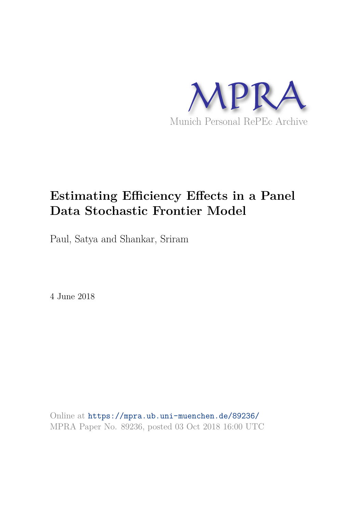

# **Estimating Efficiency Effects in a Panel Data Stochastic Frontier Model**

Paul, Satya and Shankar, Sriram

4 June 2018

Online at https://mpra.ub.uni-muenchen.de/89236/ MPRA Paper No. 89236, posted 03 Oct 2018 16:00 UTC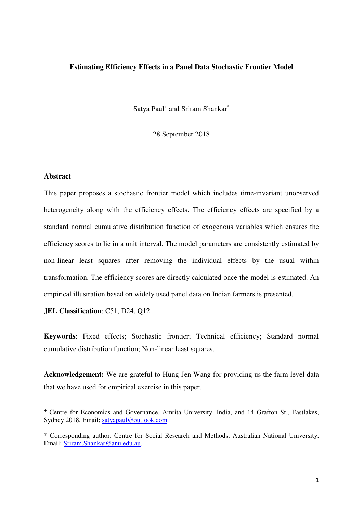#### **Estimating Efficiency Effects in a Panel Data Stochastic Frontier Model**

Satya Paul<sup>+</sup> and Sriram Shankar<sup>\*</sup>

28 September 2018

#### **Abstract**

This paper proposes a stochastic frontier model which includes time-invariant unobserved heterogeneity along with the efficiency effects. The efficiency effects are specified by a standard normal cumulative distribution function of exogenous variables which ensures the efficiency scores to lie in a unit interval. The model parameters are consistently estimated by non-linear least squares after removing the individual effects by the usual within transformation. The efficiency scores are directly calculated once the model is estimated. An empirical illustration based on widely used panel data on Indian farmers is presented.

**JEL Classification**: C51, D24, Q12

**Keywords**: Fixed effects; Stochastic frontier; Technical efficiency; Standard normal cumulative distribution function; Non-linear least squares.

**Acknowledgement:** We are grateful to Hung-Jen Wang for providing us the farm level data that we have used for empirical exercise in this paper.

<sup>+</sup> Centre for Economics and Governance, Amrita University, India, and 14 Grafton St., Eastlakes, Sydney 2018, Email: satyapaul@outlook.com.

<sup>\*</sup> Corresponding author: Centre for Social Research and Methods, Australian National University, Email: Sriram.Shankar@anu.edu.au.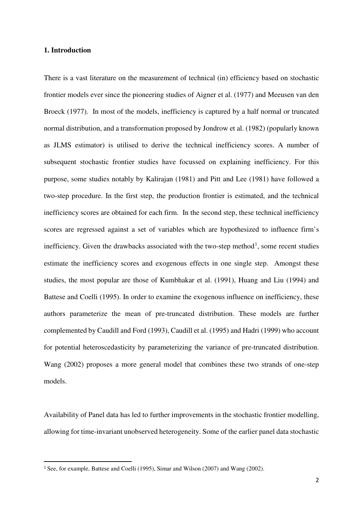# **1. Introduction**

-

There is a vast literature on the measurement of technical (in) efficiency based on stochastic frontier models ever since the pioneering studies of Aigner et al. (1977) and Meeusen van den Broeck (1977). In most of the models, inefficiency is captured by a half normal or truncated normal distribution, and a transformation proposed by Jondrow et al. (1982) (popularly known as JLMS estimator) is utilised to derive the technical inefficiency scores. A number of subsequent stochastic frontier studies have focussed on explaining inefficiency. For this purpose, some studies notably by Kalirajan (1981) and Pitt and Lee (1981) have followed a two-step procedure. In the first step, the production frontier is estimated, and the technical inefficiency scores are obtained for each firm. In the second step, these technical inefficiency scores are regressed against a set of variables which are hypothesized to influence firm's inefficiency. Given the drawbacks associated with the two-step method<sup>[1](#page-2-0)</sup>, some recent studies estimate the inefficiency scores and exogenous effects in one single step. Amongst these studies, the most popular are those of Kumbhakar et al. (1991), Huang and Liu (1994) and Battese and Coelli (1995). In order to examine the exogenous influence on inefficiency, these authors parameterize the mean of pre-truncated distribution. These models are further complemented by Caudill and Ford (1993), Caudill et al. (1995) and Hadri (1999) who account for potential heteroscedasticity by parameterizing the variance of pre-truncated distribution. Wang (2002) proposes a more general model that combines these two strands of one-step models.

Availability of Panel data has led to further improvements in the stochastic frontier modelling, allowing for time-invariant unobserved heterogeneity. Some of the earlier panel data stochastic

<span id="page-2-0"></span><sup>&</sup>lt;sup>1</sup> See, for example, Battese and Coelli (1995), Simar and Wilson (2007) and Wang (2002).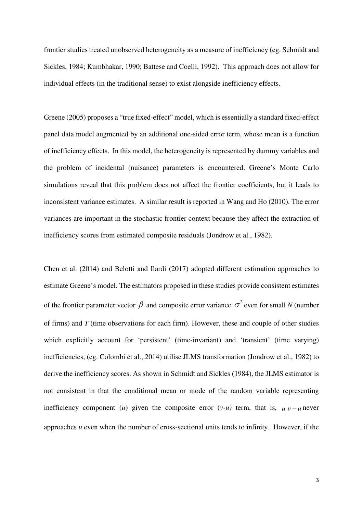frontier studies treated unobserved heterogeneity as a measure of inefficiency (eg. Schmidt and Sickles, 1984; Kumbhakar, 1990; Battese and Coelli, 1992). This approach does not allow for individual effects (in the traditional sense) to exist alongside inefficiency effects.

Greene (2005) proposes a "true fixed-effect" model, which is essentially a standard fixed-effect panel data model augmented by an additional one-sided error term, whose mean is a function of inefficiency effects. In this model, the heterogeneity is represented by dummy variables and the problem of incidental (nuisance) parameters is encountered. Greene's Monte Carlo simulations reveal that this problem does not affect the frontier coefficients, but it leads to inconsistent variance estimates. A similar result is reported in Wang and Ho (2010). The error variances are important in the stochastic frontier context because they affect the extraction of inefficiency scores from estimated composite residuals (Jondrow et al., 1982).

Chen et al. (2014) and Belotti and Ilardi (2017) adopted different estimation approaches to estimate Greene's model. The estimators proposed in these studies provide consistent estimates of the frontier parameter vector  $\beta$  and composite error variance  $\sigma^2$  even for small *N* (number of firms) and *T* (time observations for each firm). However, these and couple of other studies which explicitly account for 'persistent' (time-invariant) and 'transient' (time varying) inefficiencies, (eg. Colombi et al., 2014) utilise JLMS transformation (Jondrow et al., 1982) to derive the inefficiency scores. As shown in Schmidt and Sickles (1984), the JLMS estimator is not consistent in that the conditional mean or mode of the random variable representing inefficiency component (*u*) given the composite error (*v*-*u*) term, that is,  $u|v - u$  never approaches *u* even when the number of cross-sectional units tends to infinity. However, if the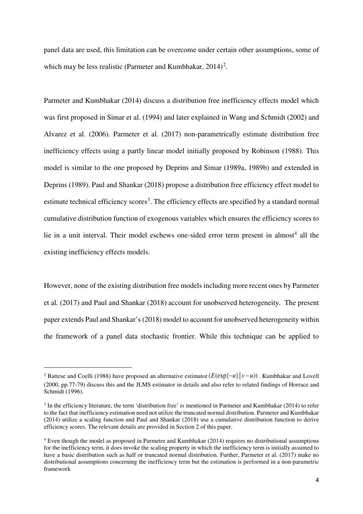panel data are used, this limitation can be overcome under certain other assumptions, some of which may be less realistic (Parmeter and Kumbhakar,  $2014$  $2014$ )<sup>2</sup>.

Parmeter and Kumbhakar (2014) discuss a distribution free inefficiency effects model which was first proposed in Simar et al. (1994) and later explained in Wang and Schmidt (2002) and Alvarez et al. (2006). Parmeter et al. (2017) non-parametrically estimate distribution free inefficiency effects using a partly linear model initially proposed by Robinson (1988). This model is similar to the one proposed by Deprins and Simar (1989a, 1989b) and extended in Deprins (1989). Paul and Shankar (2018) propose a distribution free efficiency effect model to estimate technical efficiency scores<sup>[3](#page-4-1)</sup>. The efficiency effects are specified by a standard normal cumulative distribution function of exogenous variables which ensures the efficiency scores to lie in a unit interval. Their model eschews one-sided error term present in almost<sup>[4](#page-4-2)</sup> all the existing inefficiency effects models.

However, none of the existing distribution free models including more recent ones by Parmeter et al*.* (2017) and Paul and Shankar (2018) account for unobserved heterogeneity. The present paper extends Paul and Shankar's (2018) model to account for unobserved heterogeneity within the framework of a panel data stochastic frontier. While this technique can be applied to

-

<span id="page-4-0"></span><sup>&</sup>lt;sup>2</sup> Battese and Coelli (1988) have proposed an alternative estimator  $(E(\exp{-u}) | v-u)$ . Kumbhakar and Lovell (2000, pp.77-79) discuss this and the JLMS estimator in details and also refer to related findings of Horrace and Schmidt (1996).

<span id="page-4-1"></span> $3$  In the efficiency literature, the term 'distribution free' is mentioned in Parmeter and Kumbhakar (2014) to refer to the fact that inefficiency estimation need not utilize the truncated normal distribution. Parmeter and Kumbhakar (2014) utilize a scaling function and Paul and Shankar (2018) use a cumulative distribution function to derive efficiency scores. The relevant details are provided in Section 2 of this paper.

<span id="page-4-2"></span><sup>4</sup> Even though the model as proposed in Parmeter and Kumbhakar (2014) requires no distributional assumptions for the inefficiency term, it does invoke the scaling property in which the inefficiency term is initially assumed to have a basic distribution such as half or truncated normal distribution. Further, Parmeter et al. (2017) make no distributional assumptions concerning the inefficiency term but the estimation is performed in a non-parametric framework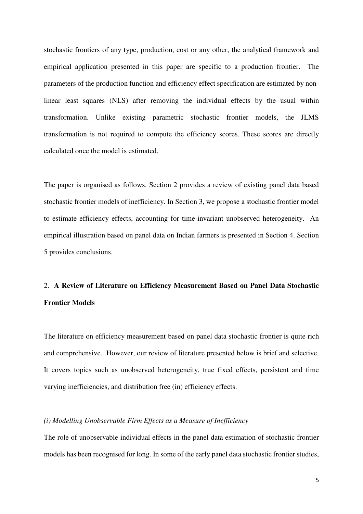stochastic frontiers of any type, production, cost or any other, the analytical framework and empirical application presented in this paper are specific to a production frontier. The parameters of the production function and efficiency effect specification are estimated by nonlinear least squares (NLS) after removing the individual effects by the usual within transformation. Unlike existing parametric stochastic frontier models, the JLMS transformation is not required to compute the efficiency scores. These scores are directly calculated once the model is estimated.

The paper is organised as follows. Section 2 provides a review of existing panel data based stochastic frontier models of inefficiency. In Section 3, we propose a stochastic frontier model to estimate efficiency effects, accounting for time-invariant unobserved heterogeneity. An empirical illustration based on panel data on Indian farmers is presented in Section 4. Section 5 provides conclusions.

# 2. **A Review of Literature on Efficiency Measurement Based on Panel Data Stochastic Frontier Models**

The literature on efficiency measurement based on panel data stochastic frontier is quite rich and comprehensive. However, our review of literature presented below is brief and selective. It covers topics such as unobserved heterogeneity, true fixed effects, persistent and time varying inefficiencies, and distribution free (in) efficiency effects.

# *(i) Modelling Unobservable Firm Effects as a Measure of Inefficiency*

The role of unobservable individual effects in the panel data estimation of stochastic frontier models has been recognised for long. In some of the early panel data stochastic frontier studies,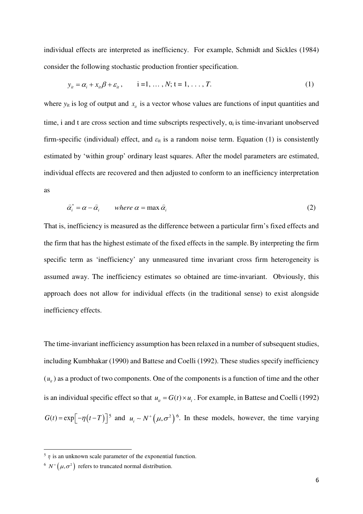individual effects are interpreted as inefficiency. For example, Schmidt and Sickles (1984) consider the following stochastic production frontier specification.

$$
y_{it} = \alpha_i + x_{it}\beta + \varepsilon_{it}, \qquad i = 1, ..., N; t = 1, ..., T.
$$
 (1)

where  $y_{it}$  is log of output and  $x_{it}$  is a vector whose values are functions of input quantities and time, i and t are cross section and time subscripts respectively,  $\alpha_i$  is time-invariant unobserved firm-specific (individual) effect, and  $\varepsilon_{it}$  is a random noise term. Equation (1) is consistently estimated by 'within group' ordinary least squares. After the model parameters are estimated, individual effects are recovered and then adjusted to conform to an inefficiency interpretation as

$$
\hat{\alpha}_i^* = \alpha - \hat{\alpha}_i \qquad \text{where } \alpha = \max \hat{\alpha}_i \tag{2}
$$

That is, inefficiency is measured as the difference between a particular firm's fixed effects and the firm that has the highest estimate of the fixed effects in the sample.By interpreting the firm specific term as 'inefficiency' any unmeasured time invariant cross firm heterogeneity is assumed away. The inefficiency estimates so obtained are time-invariant. Obviously, this approach does not allow for individual effects (in the traditional sense) to exist alongside inefficiency effects.

The time-invariant inefficiency assumption has been relaxed in a number of subsequent studies, including Kumbhakar (1990) and Battese and Coelli (1992). These studies specify inefficiency  $(u_{i}$ ) as a product of two components. One of the components is a function of time and the other is an individual specific effect so that  $u_{it} = G(t) \times u_i$ . For example, in Battese and Coelli (1992)  $G(t) = \exp[-\eta(t-T)]^5$  $G(t) = \exp[-\eta(t-T)]^5$  and  $u_i \sim N^+ (\mu, \sigma^2)^6$  $u_i \sim N^+ (\mu, \sigma^2)^6$ . In these models, however, the time varying

<u>.</u>

<span id="page-6-0"></span> $\frac{5}{\eta}$  is an unknown scale parameter of the exponential function.

<span id="page-6-1"></span><sup>&</sup>lt;sup>6</sup>  $N^+(\mu,\sigma^2)$  refers to truncated normal distribution.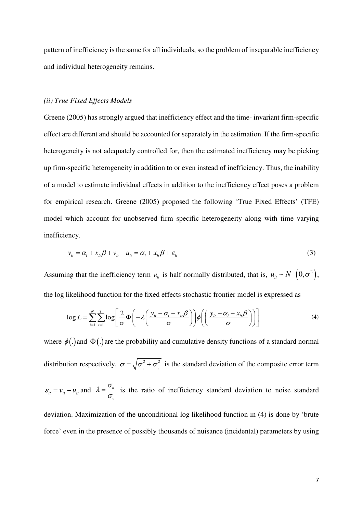pattern of inefficiency is the same for all individuals, so the problem of inseparable inefficiency and individual heterogeneity remains.

# *(ii) True Fixed Effects Models*

Greene (2005) has strongly argued that inefficiency effect and the time- invariant firm-specific effect are different and should be accounted for separately in the estimation. If the firm-specific heterogeneity is not adequately controlled for, then the estimated inefficiency may be picking up firm-specific heterogeneity in addition to or even instead of inefficiency. Thus, the inability of a model to estimate individual effects in addition to the inefficiency effect poses a problem for empirical research. Greene (2005) proposed the following 'True Fixed Effects' (TFE) model which account for unobserved firm specific heterogeneity along with time varying inefficiency.

$$
y_{it} = \alpha_i + x_{it}\beta + v_{it} - u_{it} = \alpha_i + x_{it}\beta + \varepsilon_{it}
$$
\n(3)

Assuming that the inefficiency term  $u_{it}$  is half normally distributed, that is,  $u_{it} \sim N^+(0, \sigma^2)$ , the log likelihood function for the fixed effects stochastic frontier model is expressed as

$$
\log L = \sum_{i=1}^{N} \sum_{t=1}^{T} \log \left[ \frac{2}{\sigma} \Phi \left( -\lambda \left( \frac{y_{i} - \alpha_{i} - x_{i} \beta}{\sigma} \right) \right) \phi \left( \left( \frac{y_{i} - \alpha_{i} - x_{i} \beta}{\sigma} \right) \right) \right]
$$
(4)

where  $\phi(.)$  and  $\Phi(.)$  are the probability and cumulative density functions of a standard normal distribution respectively,  $\sigma = \sqrt{\sigma^2 + \sigma^2}$  $\sigma = \sqrt{\sigma_u^2 + \sigma_v^2}$  is the standard deviation of the composite error term  $\varepsilon_{it} = v_{it} - u_{it}$  and  $\lambda = \frac{v_{it}}{\tau}$ *v*  $\lambda = \frac{\sigma}{\sqrt{2}}$  $=\frac{U_u}{\sigma}$  is the ratio of inefficiency standard deviation to noise standard deviation. Maximization of the unconditional log likelihood function in (4) is done by 'brute

force' even in the presence of possibly thousands of nuisance (incidental) parameters by using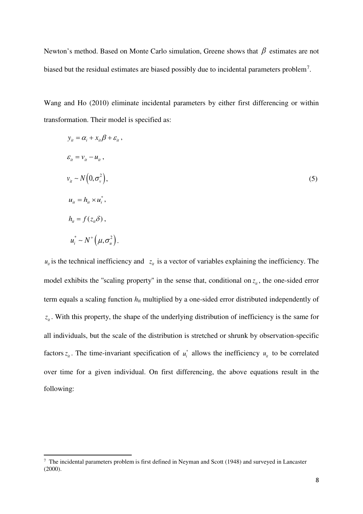Newton's method. Based on Monte Carlo simulation, Greene shows that  $\beta$  estimates are not biased but the residual estimates are biased possibly due to incidental parameters problem<sup>[7](#page-8-0)</sup>.

Wang and Ho (2010) eliminate incidental parameters by either first differencing or within transformation. Their model is specified as:

$$
y_{ii} = \alpha_i + x_{ii}\beta + \varepsilon_i,
$$
  
\n
$$
\varepsilon_{ii} = v_{ii} - u_{ii},
$$
  
\n
$$
v_{ii} \sim N(0, \sigma_v^2),
$$
  
\n
$$
u_{ii} = h_{ii} \times u_i^*,
$$
  
\n
$$
h_{ii} = f(z_{ii}\delta),
$$
  
\n
$$
u_i^* \sim N^+(\mu, \sigma_u^2).
$$
  
\n(5)

 $u_{it}$  is the technical inefficiency and  $z_{it}$  is a vector of variables explaining the inefficiency. The model exhibits the "scaling property" in the sense that, conditional on  $z<sub>i</sub>$ , the one-sided error term equals a scaling function *h*it multiplied by a one-sided error distributed independently of  $z_{it}$ . With this property, the shape of the underlying distribution of inefficiency is the same for all individuals, but the scale of the distribution is stretched or shrunk by observation-specific factors  $z_{it}$ . The time-invariant specification of  $u_i^*$  allows the inefficiency  $u_{it}$  to be correlated over time for a given individual. On first differencing, the above equations result in the following:

<u>.</u>

<span id="page-8-0"></span><sup>&</sup>lt;sup>7</sup> The incidental parameters problem is first defined in Neyman and Scott (1948) and surveyed in Lancaster (2000).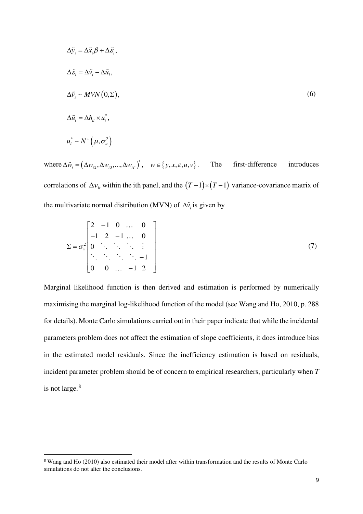$$
\Delta \tilde{y}_i = \Delta \tilde{x}_i \beta + \Delta \tilde{\varepsilon}_i,
$$
  
\n
$$
\Delta \tilde{\varepsilon}_i = \Delta \tilde{v}_i - \Delta \tilde{u}_i,
$$
  
\n
$$
\Delta \tilde{v}_i \sim MVN(0, \Sigma),
$$
  
\n
$$
\Delta \tilde{u}_i = \Delta h_{ii} \times u_i^*,
$$
  
\n
$$
u_i^* \sim N^+(\mu, \sigma_u^2)
$$
 (6)

where  $\Delta \tilde{w}_i = (\Delta w_{i2}, \Delta w_{i3}, ..., \Delta w_{iT})'$ ,  $w \in \{y, x, \varepsilon, u, v\}$ . The first-difference introduces correlations of  $\Delta v$  within the ith panel, and the  $(T-1) \times (T-1)$  variance-covariance matrix of the multivariate normal distribution (MVN) of  $\Delta \tilde{v}_i$  is given by

$$
\Sigma = \sigma_v^2 \begin{bmatrix} 2 & -1 & 0 & \dots & 0 \\ -1 & 2 & -1 & \dots & 0 \\ 0 & \ddots & \ddots & \ddots & \vdots \\ \ddots & \ddots & \ddots & \ddots & -1 \\ 0 & 0 & \dots & -1 & 2 \end{bmatrix}
$$
 (7)

Marginal likelihood function is then derived and estimation is performed by numerically maximising the marginal log-likelihood function of the model (see Wang and Ho, 2010, p. 288 for details). Monte Carlo simulations carried out in their paper indicate that while the incidental parameters problem does not affect the estimation of slope coefficients, it does introduce bias in the estimated model residuals. Since the inefficiency estimation is based on residuals, incident parameter problem should be of concern to empirical researchers, particularly when *T*  is not large.<sup>[8](#page-9-0)</sup>

<u>.</u>

<span id="page-9-0"></span><sup>8</sup> Wang and Ho (2010) also estimated their model after within transformation and the results of Monte Carlo simulations do not alter the conclusions.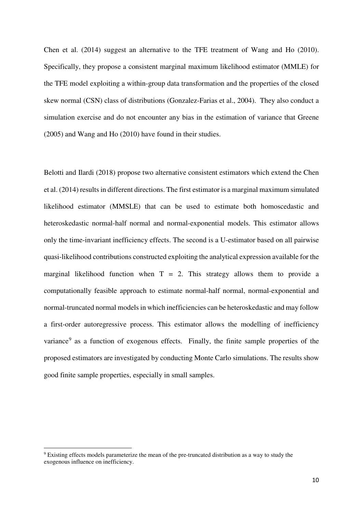Chen et al. (2014) suggest an alternative to the TFE treatment of Wang and Ho (2010). Specifically, they propose a consistent marginal maximum likelihood estimator (MMLE) for the TFE model exploiting a within-group data transformation and the properties of the closed skew normal (CSN) class of distributions (Gonzalez-Farias et al., 2004). They also conduct a simulation exercise and do not encounter any bias in the estimation of variance that Greene (2005) and Wang and Ho (2010) have found in their studies.

Belotti and Ilardi (2018) propose two alternative consistent estimators which extend the Chen et al. (2014) results in different directions. The first estimator is a marginal maximum simulated likelihood estimator (MMSLE) that can be used to estimate both homoscedastic and heteroskedastic normal-half normal and normal-exponential models. This estimator allows only the time-invariant inefficiency effects. The second is a U-estimator based on all pairwise quasi-likelihood contributions constructed exploiting the analytical expression available for the marginal likelihood function when  $T = 2$ . This strategy allows them to provide a computationally feasible approach to estimate normal-half normal, normal-exponential and normal-truncated normal models in which inefficiencies can be heteroskedastic and may follow a first-order autoregressive process. This estimator allows the modelling of inefficiency variance<sup>[9](#page-10-0)</sup> as a function of exogenous effects. Finally, the finite sample properties of the proposed estimators are investigated by conducting Monte Carlo simulations. The results show good finite sample properties, especially in small samples.

.<br>-

<span id="page-10-0"></span><sup>9</sup> Existing effects models parameterize the mean of the pre-truncated distribution as a way to study the exogenous influence on inefficiency.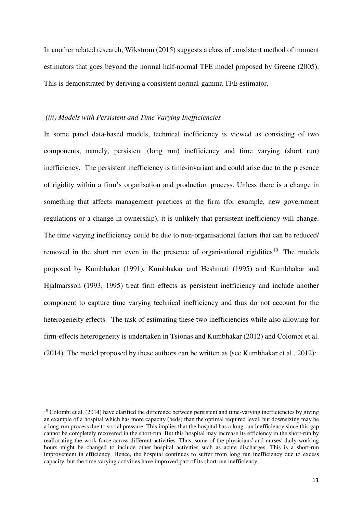In another related research, Wikstrom (2015) suggests a class of consistent method of moment estimators that goes beyond the normal half-normal TFE model proposed by Greene (2005). This is demonstrated by deriving a consistent normal-gamma TFE estimator.

# *(iii) Models with Persistent and Time Varying Inefficiencies*

In some panel data-based models, technical inefficiency is viewed as consisting of two components, namely, persistent (long run) inefficiency and time varying (short run) inefficiency. The persistent inefficiency is time-invariant and could arise due to the presence of rigidity within a firm's organisation and production process. Unless there is a change in something that affects management practices at the firm (for example, new government regulations or a change in ownership), it is unlikely that persistent inefficiency will change. The time varying inefficiency could be due to non-organisational factors that can be reduced/ removed in the short run even in the presence of organisational rigidities<sup>[10](#page-11-0)</sup>. The models proposed by Kumbhakar (1991), Kumbhakar and Heshmati (1995) and Kumbhakar and Hjalmarsson (1993, 1995) treat firm effects as persistent inefficiency and include another component to capture time varying technical inefficiency and thus do not account for the heterogeneity effects. The task of estimating these two inefficiencies while also allowing for firm-effects heterogeneity is undertaken in Tsionas and Kumbhakar (2012) and Colombi et al. (2014). The model proposed by these authors can be written as (see Kumbhakar et al., 2012):

.<br>-

<span id="page-11-0"></span> $10$  Colombi et al. (2014) have clarified the difference between persistent and time-varying inefficiencies by giving an example of a hospital which has more capacity (beds) than the optimal required level, but downsizing may be a long-run process due to social pressure. This implies that the hospital has a long-run inefficiency since this gap cannot be completely recovered in the short-run. But this hospital may increase its efficiency in the short-run by reallocating the work force across different activities. Thus, some of the physicians' and nurses' daily working hours might be changed to include other hospital activities such as acute discharges. This is a short-run improvement in efficiency. Hence, the hospital continues to suffer from long run inefficiency due to excess capacity, but the time varying activities have improved part of its short-run inefficiency.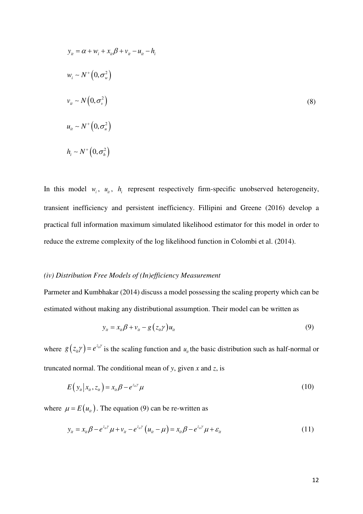$$
y_{ii} = \alpha + w_i + x_{ii}\beta + v_{ii} - u_{ii} - h_i
$$
  
\n
$$
w_i \sim N^+(0, \sigma_w^2)
$$
  
\n
$$
v_{ii} \sim N(0, \sigma_v^2)
$$
  
\n
$$
u_{ii} \sim N^+(0, \sigma_u^2)
$$
  
\n
$$
h_i \sim N^+(0, \sigma_h^2)
$$
  
\n(8)

In this model  $w_i$ ,  $u_{ii}$ ,  $h_i$  represent respectively firm-specific unobserved heterogeneity, transient inefficiency and persistent inefficiency. Fillipini and Greene (2016) develop a practical full information maximum simulated likelihood estimator for this model in order to reduce the extreme complexity of the log likelihood function in Colombi et al. (2014).

### *(iv) Distribution Free Models of (In)efficiency Measurement*

Parmeter and Kumbhakar (2014) discuss a model possessing the scaling property which can be estimated without making any distributional assumption. Their model can be written as

$$
y_{it} = x_{it}\beta + v_{it} - g\left(z_{it}\gamma\right)u_{it} \tag{9}
$$

where  $g(z_{ii}\gamma) = e^{z_{ii}\gamma}$  is the scaling function and  $u_{ii}$  the basic distribution such as half-normal or truncated normal. The conditional mean of *y*, given *x* and *z*, is

$$
E(yi|xi, zi) = xi \beta - ezi \gamma \mu
$$
\n(10)

where  $\mu = E(u_{it})$ . The equation (9) can be re-written as

$$
y_{it} = x_{it} \beta - e^{z_{it} \gamma} \mu + v_{it} - e^{z_{it} \gamma} \left( u_{it} - \mu \right) = x_{it} \beta - e^{z_{it} \gamma} \mu + \varepsilon_{it}
$$
(11)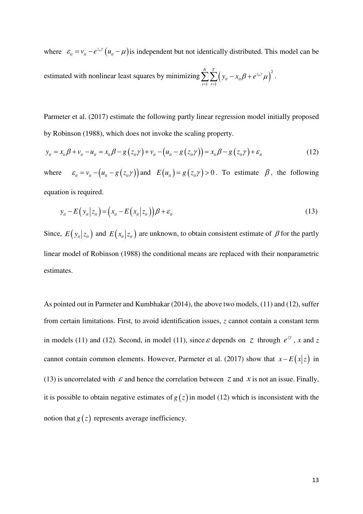where  $\varepsilon_{ii} = v_{ii} - e^{z_{ii} \gamma} (u_{ii} - \mu)$  is independent but not identically distributed. This model can be estimated with nonlinear least squares by minimizing  $\sum_{i=1}^{N} \sum_{t=1}^{T} (y_{it} - x_{it} \beta + e^{z_{it} \gamma} \mu)^2$ *it*  $\lambda_{it}$ *i*=1 *t*  $y_{it} - x_{it}\beta + e^{z_{it}\gamma} \mu$ <sup>2</sup>.

Parmeter et al. (2017) estimate the following partly linear regression model initially proposed by Robinson (1988), which does not invoke the scaling property.

$$
y_{it} = x_{it}\beta + v_{it} - u_{it} = x_{it}\beta - g(z_{it}\gamma) + v_{it} - (u_{it} - g(z_{it}\gamma)) = x_{it}\beta - g(z_{it}\gamma) + \varepsilon_{it}
$$
\n(12)

where  $\varepsilon_{ii} = v_{ii} - (u_{ii} - g(z_{ii} \gamma))$  and  $E(u_{ii}) = g(z_{ii} \gamma) > 0$ . To estimate  $\beta$ , the following equation is required.

$$
y_{it} - E\left(y_{it} | z_{it}\right) = \left(x_{it} - E\left(x_{it} | z_{it}\right)\right)\beta + \varepsilon_{it}
$$
\n(13)

Since,  $E(y_i | z_i)$  and  $E(x_i | z_i)$  are unknown, to obtain consistent estimate of  $\beta$  for the partly linear model of Robinson (1988) the conditional means are replaced with their nonparametric estimates.

As pointed out in Parmeter and Kumbhakar (2014), the above two models, (11) and (12), suffer from certain limitations. First, to avoid identification issues, *z* cannot contain a constant term in models (11) and (12). Second, in model (11), since  $\varepsilon$  depends on *z* through  $e^{z\gamma}$ , *x* and *z* cannot contain common elements. However, Parmeter et al. (2017) show that  $x - E(x|z)$  in (13) is uncorrelated with  $\varepsilon$  and hence the correlation between *z* and *x* is not an issue. Finally, it is possible to obtain negative estimates of  $g(z)$  in model (12) which is inconsistent with the notion that  $g(z)$  represents average inefficiency.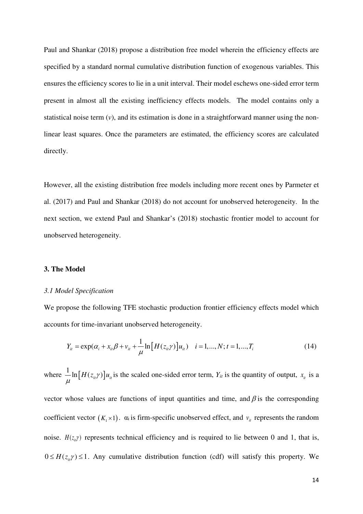Paul and Shankar (2018) propose a distribution free model wherein the efficiency effects are specified by a standard normal cumulative distribution function of exogenous variables. This ensures the efficiency scores to lie in a unit interval. Their model eschews one-sided error term present in almost all the existing inefficiency effects models. The model contains only a statistical noise term (*v*), and its estimation is done in a straightforward manner using the nonlinear least squares. Once the parameters are estimated, the efficiency scores are calculated directly.

However, all the existing distribution free models including more recent ones by Parmeter et al. (2017) and Paul and Shankar (2018) do not account for unobserved heterogeneity. In the next section, we extend Paul and Shankar's (2018) stochastic frontier model to account for unobserved heterogeneity.

# **3. The Model**

### *3.1 Model Specification*

We propose the following TFE stochastic production frontier efficiency effects model which accounts for time-invariant unobserved heterogeneity.

$$
Y_{ii} = \exp(\alpha_i + x_{ii}\beta + v_{ii} + \frac{1}{\mu}\ln[H(z_{ii}\gamma)]u_{ii}) \quad i = 1,...,N; t = 1,...,T_i
$$
 (14)

where  $\frac{1}{\mu} \ln \left[ H(z_{it}\gamma) \right] u_{it}$  is the scaled one-sided error term,  $Y_{it}$  is the quantity of output,  $x_{it}$  is a

vector whose values are functions of input quantities and time, and  $\beta$  is the corresponding coefficient vector  $(K_1 \times 1)$ .  $\alpha_i$  is firm-specific unobserved effect, and  $v_i$  represents the random noise.  $H(z, y)$  represents technical efficiency and is required to lie between 0 and 1, that is,  $0 \leq H(z, y) \leq 1$ . Any cumulative distribution function (cdf) will satisfy this property. We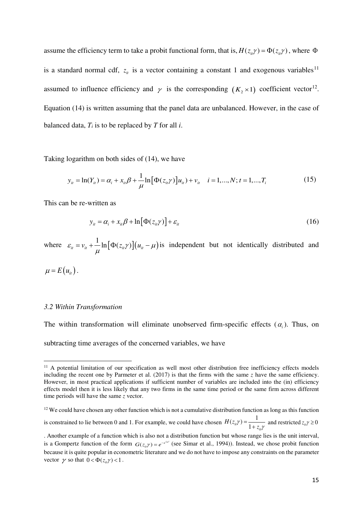assume the efficiency term to take a probit functional form, that is,  $H(z_i, \gamma) = \Phi(z_i, \gamma)$ , where  $\Phi$ is a standard normal cdf,  $z_{it}$  is a vector containing a constant 1 and exogenous variables<sup>[11](#page-15-0)</sup> assumed to influence efficiency and  $\gamma$  is the corresponding  $(K_2 \times 1)$  coefficient vector<sup>[12](#page-15-1)</sup>. Equation (14) is written assuming that the panel data are unbalanced. However, in the case of balanced data,  $T_i$  is to be replaced by  $T$  for all  $i$ .

Taking logarithm on both sides of (14), we have

$$
y_{ii} = \ln(Y_{ii}) = \alpha_i + x_{ii}\beta + \frac{1}{\mu}\ln[\Phi(z_{ii}\gamma)]u_{ii}) + v_{ii} \quad i = 1,...,N; t = 1,...,T_i
$$
 (15)

This can be re-written as

$$
y_{it} = \alpha_i + x_{it} \beta + \ln[\Phi(z_{it} \gamma)] + \varepsilon_{it}
$$
\n(16)

where  $\varepsilon_{ii} = v_{ii} + \frac{1}{\mu} \ln \left[ \Phi(z_{ii} \gamma) \right] (u_{ii} - \mu)$ is independent but not identically distributed and

 $\mu = E(u_i)$ .

-

#### *3.2 Within Transformation*

The within transformation will eliminate unobserved firm-specific effects  $(\alpha_i)$ . Thus, on subtracting time averages of the concerned variables, we have

<span id="page-15-0"></span><sup>&</sup>lt;sup>11</sup> A potential limitation of our specification as well most other distribution free inefficiency effects models including the recent one by Parmeter et al.  $(2017)$  is that the firms with the same *z* have the same efficiency. However, in most practical applications if sufficient number of variables are included into the (in) efficiency effects model then it is less likely that any two firms in the same time period or the same firm across different time periods will have the same *z* vector.

<span id="page-15-1"></span> $12$  We could have chosen any other function which is not a cumulative distribution function as long as this function

is constrained to lie between 0 and 1. For example, we could have chosen  $H(z_{ii}\gamma) = \frac{1}{1-z_{ii}}$  $\frac{1}{1}$ <sup>*it*</sup> /  $\frac{1}{1}$ *it H z*  $\tau$ <sup>y</sup>) =  $\frac{1}{1+z}$ γ =  $\frac{1}{1 + z_{ii}\gamma}$  and restricted  $z_{ii}\gamma \ge 0$ 

<sup>.</sup> Another example of a function which is also not a distribution function but whose range lies is the unit interval, is a Gompertz function of the form  $G(z_{ii}\gamma) = e^{-e^{2it\gamma}}$  (see Simar et al., 1994)). Instead, we chose probit function because it is quite popular in econometric literature and we do not have to impose any constraints on the parameter vector  $\gamma$  so that  $0 < \Phi(z_i, \gamma) < 1$ .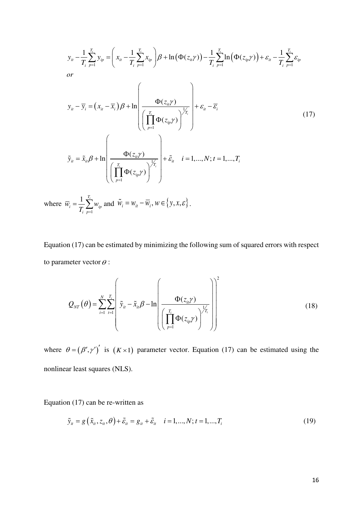$$
y_{ii} - \frac{1}{T_i} \sum_{p=1}^{T_i} y_{ip} = \left(x_{ii} - \frac{1}{T_i} \sum_{p=1}^{T_i} x_{ip}\right) \beta + \ln\left(\Phi(z_{ii}\gamma)\right) - \frac{1}{T_i} \sum_{p=1}^{T_i} \ln\left(\Phi(z_{ip}\gamma)\right) + \varepsilon_{ii} - \frac{1}{T_i} \sum_{p=1}^{T_i} \varepsilon_{ip}
$$
  
\nor  
\n
$$
y_{ii} - \overline{y}_i = (x_{ii} - \overline{x}_i) \beta + \ln\left(\frac{\Phi(z_{ii}\gamma)}{\left(\prod_{p=1}^{T_i} \Phi(z_{ip}\gamma)\right)^{\frac{1}{T_i}}}\right) + \varepsilon_{ii} - \overline{\varepsilon}_i
$$
  
\n
$$
\tilde{y}_{ii} = \tilde{x}_{ii} \beta + \ln\left(\frac{\Phi(z_{ii}\gamma)}{\left(\prod_{p=1}^{T_i} \Phi(z_{ip}\gamma)\right)^{\frac{1}{T_i}}}\right) + \tilde{\varepsilon}_{ii} \quad i = 1,..., N; t = 1,..., T_i
$$
\n(17)

where 1  $1 \frac{T_i}{\sqrt{2}}$  $i = \frac{1}{T} \sum w_{ip}$ *i p*  $\overline{w}_i = \frac{1}{m} \sum_{i=1}^{n} w_i$  $=\frac{1}{T_i}\sum_{p=1}^{T_i}w_{ip}$  and  $\tilde{W}_i = W_{it} - \overline{W}_i, W \in \{y, x, \varepsilon\}$ .

Equation (17) can be estimated by minimizing the following sum of squared errors with respect to parameter vector  $\theta$  :

$$
Q_{NT}(\theta) = \sum_{i=1}^{N} \sum_{t=1}^{T_i} \left( \tilde{y}_{it} - \tilde{x}_{it}\beta - \ln\left(\frac{\Phi(z_{it}\gamma)}{\left(\prod_{p=1}^{T_i} \Phi(z_{ip}\gamma)\right)^{\frac{1}{T_i}}}\right) \right)^2
$$
(18)

where  $\theta = (\beta', \gamma')'$  is  $(K \times 1)$  parameter vector. Equation (17) can be estimated using the nonlinear least squares (NLS).

Equation (17) can be re-written as

$$
\tilde{y}_{it} = g\left(\tilde{x}_{it}, z_{it}, \theta\right) + \tilde{\varepsilon}_{it} = g_{it} + \tilde{\varepsilon}_{it} \quad i = 1, ..., N; t = 1, ..., T_{i}
$$
\n(19)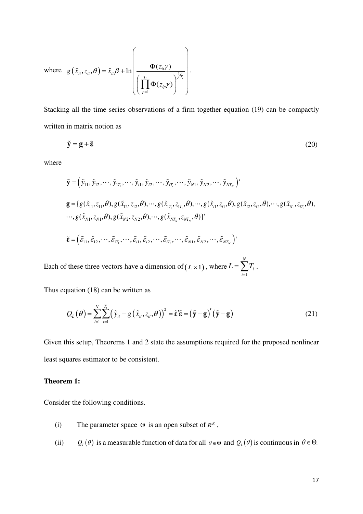where 
$$
g(\tilde{x}_i, z_i, \theta) = \tilde{x}_i \beta + \ln \left( \frac{\Phi(z_i \gamma)}{\left( \prod_{p=1}^{T_i} \Phi(z_{ip} \gamma) \right)^{\frac{1}{T_i}}} \right).
$$

Stacking all the time series observations of a firm together equation (19) can be compactly written in matrix notion as

$$
\tilde{\mathbf{y}} = \mathbf{g} + \tilde{\mathbf{\varepsilon}} \tag{20}
$$

where

$$
\tilde{\mathbf{y}} = (\tilde{y}_{11}, \tilde{y}_{12}, \dots, \tilde{y}_{1T_1}, \dots, \tilde{y}_{i1}, \tilde{y}_{i2}, \dots, \tilde{y}_{iT_i}, \dots, \tilde{y}_{N1}, \tilde{y}_{N2}, \dots, \tilde{y}_{NT_N})^{\dagger}
$$
\n
$$
\mathbf{g} = \{ g(\tilde{x}_{11}, z_{11}, \theta), g(\tilde{x}_{12}, z_{12}, \theta), \dots, g(\tilde{x}_{1T_1}, z_{1T_1}, \theta), \dots, g(\tilde{x}_{i1}, z_{i1}, \theta), g(\tilde{x}_{i2}, z_{i2}, \theta), \dots, g(\tilde{x}_{NT_N}, z_{NT_N}, \theta), \dots, g(\tilde{x}_{NT_N}, z_{NT_N}, \theta) \}^{\dagger}
$$
\n
$$
\tilde{\mathbf{\varepsilon}} = (\tilde{\varepsilon}_{11}, \tilde{\varepsilon}_{12}, \dots, \tilde{\varepsilon}_{1T_1}, \dots, \tilde{\varepsilon}_{i1}, \tilde{\varepsilon}_{i2}, \dots, \tilde{\varepsilon}_{iT_i}, \dots, \tilde{\varepsilon}_{N1}, \tilde{\varepsilon}_{N2}, \dots, \tilde{\varepsilon}_{NT_N})^{\dagger}
$$

Each of these three vectors have a dimension of  $(L \times 1)$ , where 1 *N i i*  $L = \sum T$  $=\sum_{i=1}T_i$ .

Thus equation (18) can be written as

$$
Q_{L}(\theta) = \sum_{i=1}^{N} \sum_{t=1}^{T_{i}} (\tilde{y}_{it} - g(\tilde{x}_{it}, z_{it}, \theta))^{2} = \tilde{\epsilon}^{\prime} \tilde{\epsilon} = (\tilde{\mathbf{y}} - \mathbf{g})^{\prime} (\tilde{\mathbf{y}} - \mathbf{g})
$$
(21)

Given this setup, Theorems 1 and 2 state the assumptions required for the proposed nonlinear least squares estimator to be consistent.

# **Theorem 1:**

Consider the following conditions.

- (i) The parameter space  $\Theta$  is an open subset of  $R^{k}$ ,
- (ii)  $Q_L(\theta)$  is a measurable function of data for all  $\theta \in \Theta$  and  $Q_L(\theta)$  is continuous in  $\theta \in \Theta$ .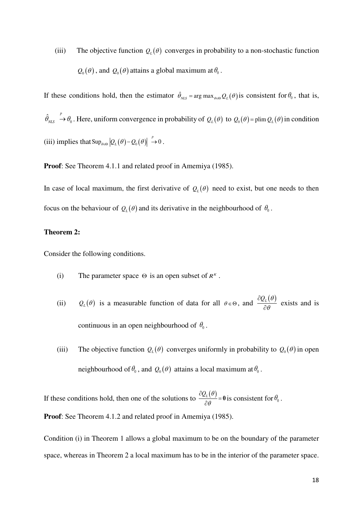(iii) The objective function  $Q_L(\theta)$  converges in probability to a non-stochastic function  $Q_0(\theta)$ , and  $Q_0(\theta)$  attains a global maximum at  $\theta_0$ .

If these conditions hold, then the estimator  $\hat{\theta}_{NLS} = \arg \max_{\theta \in \Theta} Q_L(\theta)$  is consistent for  $\theta_0$ , that is,  $\hat{\theta}_{NLS} \stackrel{p}{\to} \theta_0$ . Here, uniform convergence in probability of  $Q_L(\theta)$  to  $Q_0(\theta) = \text{plim } Q_L(\theta)$  in condition (iii) implies that  $\sup_{\theta \in \Theta} |Q_L(\theta) - Q_0(\theta)| \overset{p}{\to} 0$ .

**Proof**: See Theorem 4.1.1 and related proof in Amemiya (1985).

In case of local maximum, the first derivative of  $Q_L(\theta)$  need to exist, but one needs to then focus on the behaviour of  $Q_L(\theta)$  and its derivative in the neighbourhood of  $\theta_0$ .

# **Theorem 2:**

Consider the following conditions.

- (i) The parameter space  $\Theta$  is an open subset of  $R^{k}$ .
- (ii)  $Q_L(\theta)$  is a measurable function of data for all  $\theta \in \Theta$ , and  $\frac{\partial Q_L(\theta)}{\partial \theta}$ ∂  $\frac{\partial L(v)}{\partial \theta}$  exists and is continuous in an open neighbourhood of  $\theta_0$ .
- (iii) The objective function  $Q_L(\theta)$  converges uniformly in probability to  $Q_0(\theta)$  in open neighbourhood of  $\theta_0$ , and  $Q_0(\theta)$  attains a local maximum at  $\theta_0$ .

If these conditions hold, then one of the solutions to  $\frac{\partial Q_L(\theta)}{\partial \theta}$  $\frac{\partial Q_{L}(\theta)}{\partial \theta} =$  $\frac{\partial L(\mathbf{C})}{\partial \theta} = \mathbf{0}$  is consistent for  $\theta_0$ . **Proof**: See Theorem 4.1.2 and related proof in Amemiya (1985).

Condition (i) in Theorem 1 allows a global maximum to be on the boundary of the parameter space, whereas in Theorem 2 a local maximum has to be in the interior of the parameter space.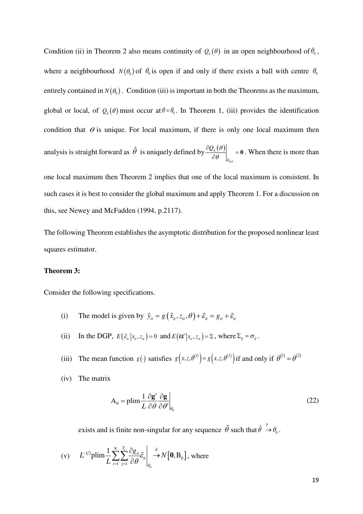Condition (ii) in Theorem 2 also means continuity of  $Q_L(\theta)$  in an open neighbourhood of  $\theta_0$ , where a neighbourhood  $N(\theta_0)$  of  $\theta_0$  is open if and only if there exists a ball with centre  $\theta_0$ entirely contained in  $N(\theta_0)$ . Condition (iii) is important in both the Theorems as the maximum, global or local, of  $Q_L(\theta)$  must occur at  $\theta = \theta_0$ . In Theorem 1, (iii) provides the identification condition that  $\theta$  is unique. For local maximum, if there is only one local maximum then analysis is straight forward as  $\hat{\theta}$  is uniquely defined by  $\frac{\partial Q_L(\theta)}{\partial \theta}$  $\hat{\theta}_{NLS}$  $\mathcal{Q}_L$ θ θ θ  $\frac{\partial Q_{L}(\theta)}{\partial \theta}$  =  $\left(\frac{\partial E(\mathbf{0})}{\partial \theta}\right)_{\hat{\theta}}$  = **0**. When there is more than

one local maximum then Theorem 2 implies that one of the local maximum is consistent. In such cases it is best to consider the global maximum and apply Theorem 1. For a discussion on this, see Newey and McFadden (1994, p.2117).

The following Theorem establishes the asymptotic distribution for the proposed nonlinear least squares estimator.

#### **Theorem 3:**

Consider the following specifications.

- (i) The model is given by  $\tilde{y}_i = g(\tilde{x}_i, z_i, \theta) + \tilde{\varepsilon}_i = g_i + \tilde{\varepsilon}_i$
- (ii) In the DGP,  $E(\tilde{\epsilon}_i | x_i, z_i) = 0$  and  $E(\tilde{\epsilon} \tilde{\epsilon}' | x_i, z_i) = \Sigma$ , where  $\Sigma_{ij} = \sigma_{ij}$ .
- (iii) The mean function  $g(\cdot)$  satisfies  $g(x, z, \theta^{(1)}) = g(x, z, \theta^{(2)})$  if and only if  $\theta^{(1)} = \theta^{(2)}$
- (iv) The matrix

$$
A_0 = \text{plim} \frac{1}{L} \frac{\partial g'}{\partial \theta} \frac{\partial g}{\partial \theta'} \bigg|_{\theta_0}
$$
 (22)

exists and is finite non-singular for any sequence  $\tilde{\theta}$  such that  $\tilde{\theta} \stackrel{p}{\rightarrow} \theta_0$ .

(v) 
$$
L^{-1/2} \text{plim} \frac{1}{L} \sum_{i=1}^{N} \sum_{j=1}^{T_i} \frac{\partial g_{it}}{\partial \theta} \tilde{\varepsilon}_{it} \Big|_{\theta_0} \stackrel{d}{\rightarrow} N\big[\mathbf{0}, \mathbf{B}_0\big], \text{ where}
$$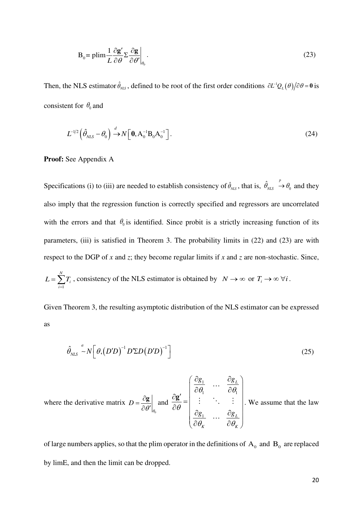$$
B_0 = \text{plim} \frac{1}{L} \frac{\partial g'}{\partial \theta} \Sigma \frac{\partial g}{\partial \theta'} \bigg|_{\theta_0} .
$$
 (23)

Then, the NLS estimator  $\hat{\theta}_{NLS}$ , defined to be root of the first order conditions  $\partial L^1 Q_L(\theta)/\partial \theta = 0$  is consistent for  $\theta_0$  and

$$
L^{-1/2} \left( \hat{\theta}_{NLS} - \theta_0 \right) \xrightarrow{d} N \left[ \mathbf{0}, A_0^{-1} \mathbf{B}_0 A_0^{-1} \right]. \tag{24}
$$

**Proof:** See Appendix A

Specifications (i) to (iii) are needed to establish consistency of  $\hat{\theta}_{\text{NLS}}$ , that is,  $\hat{\theta}_{\text{NLS}} \to \theta_0$  and they also imply that the regression function is correctly specified and regressors are uncorrelated with the errors and that  $\theta_0$  is identified. Since probit is a strictly increasing function of its parameters, (iii) is satisfied in Theorem 3. The probability limits in (22) and (23) are with respect to the DGP of *x* and *z*; they become regular limits if *x* and *z* are non-stochastic. Since, *N*

$$
L = \sum_{i=1}^{N} T_i
$$
, consistency of the NLS estimator is obtained by  $N \to \infty$  or  $T_i \to \infty \forall i$ .

Given Theorem 3, the resulting asymptotic distribution of the NLS estimator can be expressed as

$$
\hat{\theta}_{NLS} \sim N \left[ \theta, \left( D'D \right)^{-1} D' \Sigma D \left( D'D \right)^{-1} \right] \tag{25}
$$

where the derivative matrix  $\boldsymbol{0}$ *D*  $\left.\theta'\right|_{\theta}$  $=\frac{\partial}{\partial t}$  $\partial \theta'$  $\frac{g}{g}$  and 1  $v_1$   $v_1$ 1 *L L*  $K$   $\qquad \qquad \mathcal{U} \mathcal{U}_K$ *g*<sub>1</sub>  $\partial g$ *g*<sub>1</sub>  $\partial g$  $\theta_1$   $\partial \theta_1$ θ  $\theta_{\kappa}$   $\partial \theta$  $\left( \begin{array}{cc} \partial g_1 & \cdots & \partial g_L \end{array} \right)$  $\partial$ g'  $\begin{bmatrix} \overline{d} & \cdots & \overline{d} \\ \overline{\partial} & \cdots & \overline{\partial} \end{bmatrix}$ =  $\begin{array}{c|ccc} \partial \theta & \partial g_1 & ... & \partial g_L \end{array}$  $\begin{pmatrix} \partial \theta_{\scriptscriptstyle K} & \hspace{0.1 cm} \partial \theta_{\scriptscriptstyle K} \end{pmatrix}$ **g** ... i in t  $\cdots$ . We assume that the law

of large numbers applies, so that the plim operator in the definitions of  $A_0$  and  $B_0$  are replaced by limE, and then the limit can be dropped.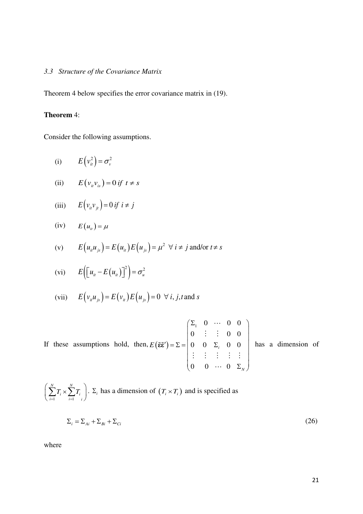# *3.3 Structure of the Covariance Matrix*

Theorem 4 below specifies the error covariance matrix in (19).

# **Theorem** 4:

Consider the following assumptions.

(i) 
$$
E(v_{it}^2) = \sigma_v^2
$$

(ii) 
$$
E(v_{it}v_{is}) = 0 \text{ if } t \neq s
$$

(iii) 
$$
E(v_{ii}v_{ji}) = 0 \text{ if } i \neq j
$$

$$
(iv) \tE(u_{it}) = \mu
$$

(v) 
$$
E(u_{ii}u_{js}) = E(u_{ii})E(u_{js}) = \mu^2 \ \forall \ i \neq j \text{ and/or } t \neq s
$$

$$
(vi) \t E\Big[\Big[u_{it} - E\big(u_{it}\big)\Big]^2\Big] = \sigma_u^2
$$

(vii) 
$$
E(v_iu_{js}) = E(v_i)E(u_{js}) = 0 \ \forall i, j, t \text{ and } s
$$

If these assumptions hold, then, 
$$
E(\tilde{\epsilon}\tilde{\epsilon}') = \Sigma = \begin{pmatrix} \Sigma_1 & 0 & \cdots & 0 & 0 \\ 0 & \vdots & \vdots & 0 & 0 \\ 0 & 0 & \Sigma_i & 0 & 0 \\ \vdots & \vdots & \vdots & \vdots & \vdots \\ 0 & 0 & \cdots & 0 & \Sigma_N \end{pmatrix}
$$
 has a dimension of

 $i=1$ *N N*  $\sum_{i=1}^{\ell} i \cap \sum_{i=1}^{\ell} i$  $T_i \times \sum T$  $\left(\sum_{i=1}^{N} T_i \times \sum_{i=1}^{N} T_i\right)$ .  $\Sigma_i$  has a dimension of  $(T_i \times T_i)$  and is specified as

$$
\Sigma_i = \Sigma_{Ai} + \Sigma_{Bi} + \Sigma_{Ci} \tag{26}
$$

where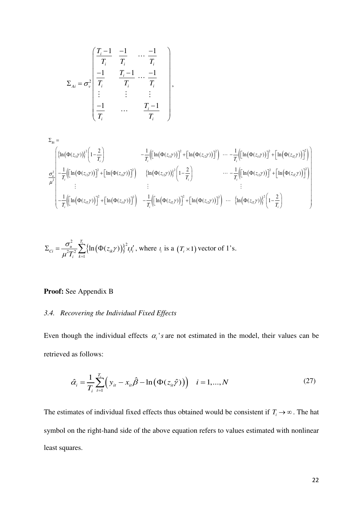$$
\Sigma_{Ai} = \sigma_v^2 \begin{bmatrix} \frac{T_i - 1}{T_i} & \frac{-1}{T_i} & \cdots & \frac{-1}{T_i} \\ \frac{-1}{T_i} & \frac{T_i - 1}{T_i} & \cdots & \frac{-1}{T_i} \\ \vdots & \vdots & \vdots & \vdots \\ \frac{-1}{T_i} & \cdots & \frac{T_i - 1}{T_i} \end{bmatrix}
$$

$$
\Sigma_{Bi} = \begin{pmatrix}\n\left\{\ln(\Phi(z_{i1}\gamma))\right\}^{2}\left(1-\frac{2}{T_{i}}\right) & -\frac{1}{T_{i}}\left(\left[\ln(\Phi(z_{i1}\gamma))\right]^{2} + \left[\ln(\Phi(z_{i2}\gamma))\right]^{2}\right) & \cdots & -\frac{1}{T_{i}}\left(\left[\ln(\Phi(z_{i1}\gamma))\right]^{2} + \left[\ln(\Phi(z_{i2}\gamma))\right]^{2}\right)\right] \\
\frac{\sigma_{u}^{2}}{\mu^{2}}\left[-\frac{1}{T_{i}}\left(\left[\ln(\Phi(z_{i2}\gamma))\right]^{2} + \left[\ln(\Phi(z_{i1}\gamma))\right]^{2}\right) & \left\{\ln(\Phi(z_{i2}\gamma))\right\}^{2}\left(1-\frac{2}{T_{i}}\right) & \cdots & -\frac{1}{T_{i}}\left(\left[\ln(\Phi(z_{i2}\gamma))\right]^{2} + \left[\ln(\Phi(z_{i2}\gamma))\right]^{2}\right)\right] \\
\vdots & \vdots & \vdots \\
-\frac{1}{T_{i}}\left(\left[\ln(\Phi(z_{i1}\gamma))\right]^{2} + \left[\ln(\Phi(z_{i1}\gamma))\right]^{2}\right) & -\frac{1}{T_{i}}\left(\left[\ln(\Phi(z_{i2}\gamma))\right]^{2} + \left[\ln(\Phi(z_{i2}\gamma))\right]^{2}\right) & \cdots & \left\{\ln(\Phi(z_{i2}\gamma))\right\}^{2}\left(1-\frac{2}{T_{i}}\right)\n\end{pmatrix}
$$

,

$$
\Sigma_{ci} = \frac{\sigma_u^2}{\mu^2 T_i^2} \sum_{k=1}^{T_i} \left\{ \ln \left( \Phi(z_{ik}\gamma) \right) \right\}^2 t_i t'_i, \text{ where } t_i \text{ is a } (T_i \times 1) \text{ vector of } 1 \text{'s.}
$$

# **Proof:** See Appendix B

# *3.4. Recovering the Individual Fixed Effects*

Even though the individual effects  $\alpha_i$ 's are not estimated in the model, their values can be retrieved as follows:

$$
\hat{\alpha}_i = \frac{1}{T_i} \sum_{t=1}^{T_i} \left( y_{it} - x_{it} \hat{\beta} - \ln \left( \Phi(z_{it} \hat{\gamma}) \right) \right) \quad i = 1, ..., N \tag{27}
$$

The estimates of individual fixed effects thus obtained would be consistent if  $T_i \to \infty$ . The hat symbol on the right-hand side of the above equation refers to values estimated with nonlinear least squares.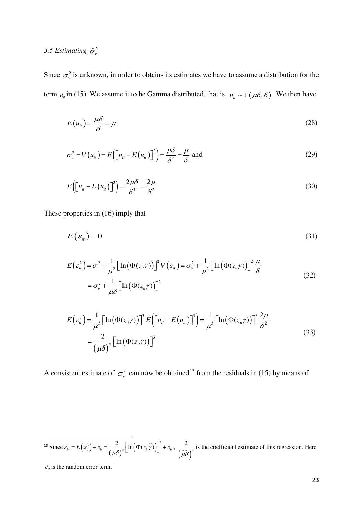# 3.5 Estimating  $\hat{\sigma}_{v}^{2}$

Since  $\sigma_{\nu}^2$  is unknown, in order to obtains its estimates we have to assume a distribution for the term  $u_i$  in (15). We assume it to be Gamma distributed, that is,  $u_i \sim \Gamma(\mu \delta, \delta)$ . We then have

$$
E(u_{ii}) = \frac{\mu \delta}{\delta} = \mu \tag{28}
$$

$$
\sigma_u^2 = V(u_{it}) = E\left(\left[u_{it} - E(u_{it})\right]\right)^2 = \frac{\mu\delta}{\delta^2} = \frac{\mu}{\delta} \text{ and } \tag{29}
$$

$$
E\left(\left[u_{ii} - E\left(u_{ii}\right)\right]^{3}\right) = \frac{2\mu\delta}{\delta^{3}} = \frac{2\mu}{\delta^{2}}
$$
\n(30)

These properties in (16) imply that

$$
E(\varepsilon_{it})=0 \tag{31}
$$

$$
E\left(\varepsilon_{u}^{2}\right) = \sigma_{v}^{2} + \frac{1}{\mu^{2}}\Big[\ln\big(\Phi(z_{u}\gamma)\big)\Big]^{2}V\left(u_{u}\right) = \sigma_{v}^{2} + \frac{1}{\mu^{2}}\Big[\ln\big(\Phi(z_{u}\gamma)\big)\Big]^{2}\frac{\mu}{\delta}
$$
\n
$$
= \sigma_{v}^{2} + \frac{1}{\mu\delta}\Big[\ln\big(\Phi(z_{u}\gamma)\big)\Big]^{2}
$$
\n(32)

$$
E\left(\varepsilon_{ii}^{3}\right) = \frac{1}{\mu^{3}} \Big[\ln\left(\Phi(z_{ii}\gamma)\right)\Big]^{3} E\Big(\Big[u_{ii} - E\big(u_{ii}\big)\Big]^{3}\Big) = \frac{1}{\mu^{3}} \Big[\ln\left(\Phi(z_{ii}\gamma)\right)\Big]^{3} \frac{2\mu}{\delta^{2}}
$$
  
= 
$$
\frac{2}{\left(\mu\delta\right)^{2}} \Big[\ln\left(\Phi(z_{ii}\gamma)\right)\Big]^{3}
$$
 (33)

A consistent estimate of  $\sigma_{\nu}^2$  can now be obtained<sup>[13](#page-23-0)</sup> from the residuals in (15) by means of

-

<span id="page-23-0"></span><sup>&</sup>lt;sup>13</sup> Since  $\hat{\epsilon}_{ii}^3 = E(\epsilon_{ii}^3) + \epsilon_{ii} = \frac{2}{(\mu \delta)^2} \Big[ \ln \Big( \Phi(z_{ii} \hat{\gamma}) \Big) \Big]^3$  $\widehat{\varepsilon}^{\,3}_{\! \scriptscriptstyle \mathit{ii}} = E\!\left(\varepsilon^{\,3}_{\! \scriptscriptstyle \mathit{ii}}\right) + e_{\scriptscriptstyle \mathit{ii}} = \!\frac{2}{\left(\mu\delta\right)^2} \!\Big[\ln\!\Big(\Phi(z_{\scriptscriptstyle \mathit{ii}}\hat{\gamma})\Big)\Big]^{\!3} + e_{\scriptscriptstyle \mathit{ii}} \;, \;\frac{2}{\left(\widehat{\mu}\hat{\delta}\right)^{\!2}}$ 2 µδ is the coefficient estimate of this regression. Here

 $e_{it}$  is the random error term.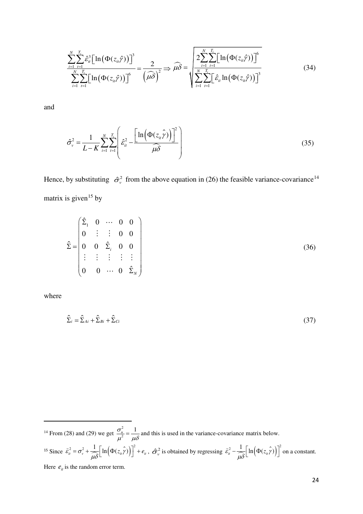$$
\frac{\sum_{i=1}^{N} \sum_{t=1}^{T_i} \hat{\varepsilon}_{it}^3 \Big[ \ln \big( \Phi(z_{it} \hat{\gamma}) \big) \Big]^3}{\sum_{i=1}^{N} \sum_{t=1}^{T_i} \Big[ \ln \big( \Phi(z_{it} \hat{\gamma}) \big) \Big]^6} = \frac{2}{\left( \widehat{\mu \delta} \right)^2} \Rightarrow \widehat{\mu \delta} = \sqrt{\sum_{i=1}^{N} \sum_{t=1}^{T_i} \Big[ \ln \big( \Phi(z_{it} \hat{\gamma}) \big) \Big]^6}
$$
(34)

and

$$
\hat{\sigma}_{\nu}^{2} = \frac{1}{L - K} \sum_{i=1}^{N} \sum_{t=1}^{T_{i}} \left( \hat{\varepsilon}_{it}^{2} - \frac{\left[ \ln \left( \Phi(z_{it} \hat{\gamma}) \right) \right]^{2}}{\hat{\mu} \delta} \right)
$$
(35)

Hence, by substituting  $\hat{\sigma}^2$  from the above equation in (26) the feasible variance-covariance<sup>[14](#page-24-0)</sup> matrix is given<sup>[15](#page-24-1)</sup> by

$$
\hat{\Sigma} = \begin{pmatrix} \hat{\Sigma}_1 & 0 & \cdots & 0 & 0 \\ 0 & \vdots & \vdots & 0 & 0 \\ 0 & 0 & \hat{\Sigma}_i & 0 & 0 \\ \vdots & \vdots & \vdots & \vdots & \vdots \\ 0 & 0 & \cdots & 0 & \hat{\Sigma}_N \end{pmatrix}
$$
(36)

where

-

$$
\hat{\Sigma}_i = \hat{\Sigma}_{Ai} + \hat{\Sigma}_{Bi} + \hat{\Sigma}_{Ci} \tag{37}
$$

<span id="page-24-1"></span><span id="page-24-0"></span><sup>14</sup> From (28) and (29) we get  $\frac{\sigma_u^2}{2}$  $\frac{\sigma_u^2}{\sigma_u^2} = \frac{1}{\sigma_u^2}$  $\frac{\partial u}{\partial t^2} = \frac{1}{\mu \delta}$  and this is used in the variance-covariance matrix below. <sup>15</sup> Since  $\hat{\epsilon}_{it}^2 = \sigma_v^2 + \frac{1}{\hat{\mu}\delta} \Big[ \ln \Big( \Phi(z_{it} \hat{\gamma}) \Big) \Big]^2 + e_{it}, \ \hat{\sigma}_v^2$  is obtained by regressing  $\hat{\epsilon}_{it}^2 - \frac{1}{\hat{\mu}\delta} \Big[ \ln \Big( \Phi(z_{it} \hat{\gamma}) \Big) \Big]^2$  on a constant. Here  $e_{it}$  is the random error term.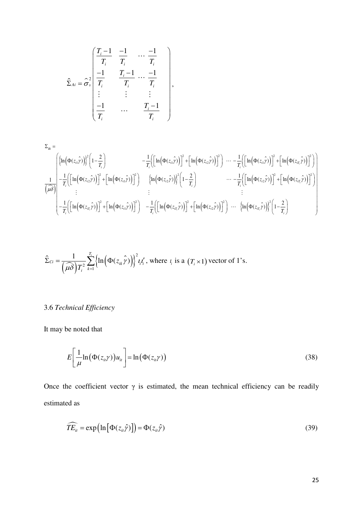$$
\hat{\Sigma}_{Ai} = \hat{\sigma}_{\nu}^{2} \begin{bmatrix} \frac{T_{i}-1}{T_{i}} & \frac{-1}{T_{i}} & \cdots & \frac{-1}{T_{i}} \\ \frac{-1}{T_{i}} & \frac{T_{i}-1}{T_{i}} & \cdots & \frac{-1}{T_{i}} \\ \vdots & \vdots & \vdots & \vdots \\ \frac{-1}{T_{i}} & \cdots & \frac{T_{i}-1}{T_{i}} \end{bmatrix},
$$

$$
\Sigma_{Bi} = \left( \left\{ \ln \left( \Phi(z_{i1} \hat{y}) \right) \right\}^{2} \left( 1 - \frac{2}{T_{i}} \right) - \frac{1}{T_{i}} \left( \left[ \ln \left( \Phi(z_{i1} \hat{y}) \right) \right]^{2} + \left[ \ln \left( \Phi(z_{i2} \hat{y}) \right) \right]^{2} \right) \cdots - \frac{1}{T_{i}} \left( \left[ \ln \left( \Phi(z_{i1} \hat{y}) \right) \right]^{2} + \left[ \ln \left( \Phi(z_{i1} \hat{y}) \right) \right]^{2} \right) \right)
$$
\n
$$
\frac{1}{\left( \widehat{\mu \delta} \right)} - \frac{1}{T_{i}} \left( \left[ \ln \left( \Phi(z_{i2} \hat{y}) \right) \right]^{2} + \left[ \ln \left( \Phi(z_{i1} \hat{y}) \right) \right]^{2} \right) \qquad \left\{ \ln \left( \Phi(z_{i2} \hat{y}) \right) \right\}^{2} \left( 1 - \frac{2}{T_{i}} \right) \qquad \cdots - \frac{1}{T_{i}} \left( \left[ \ln \left( \Phi(z_{i2} \hat{y}) \right) \right]^{2} + \left[ \ln \left( \Phi(z_{i1} \hat{y}) \right) \right]^{2} \right)
$$
\n
$$
\vdots
$$
\n
$$
- \frac{1}{T_{i}} \left( \left[ \ln \left( \Phi(z_{i1} \hat{y}) \right) \right]^{2} + \left[ \ln \left( \Phi(z_{i1} \hat{y}) \right) \right]^{2} \right) - \frac{1}{T_{i}} \left( \left[ \ln \left( \Phi(z_{i1} \hat{y}) \right) \right]^{2} + \left[ \ln \left( \Phi(z_{i2} \hat{y}) \right) \right]^{2} \right) \cdots - \left\{ \ln \left( \Phi(z_{i1} \hat{y}) \right) \right\}^{2} \left( 1 - \frac{2}{T_{i}} \right)
$$

$$
\hat{\Sigma}_{Ci} = \frac{1}{(\widehat{\mu\delta})T_i^2} \sum_{k=1}^{T_i} \left\{ \ln\left(\Phi(z_{ik}\hat{\gamma})\right) \right\}^2 t_i t'_i
$$
, where  $t_i$  is a  $(T_i \times 1)$  vector of 1's.

# 3.6 *Technical Efficiency*

It may be noted that

$$
E\left[\frac{1}{\mu}\ln(\Phi(z_{ii}\gamma))u_{ii}\right] = \ln(\Phi(z_{ii}\gamma))
$$
\n(38)

Once the coefficient vector  $\gamma$  is estimated, the mean technical efficiency can be readily estimated as

$$
\widehat{TE}_{it} = \exp\left(\ln\left[\Phi(z_{it}\hat{\gamma})\right]\right) = \Phi(z_{it}\hat{\gamma})\tag{39}
$$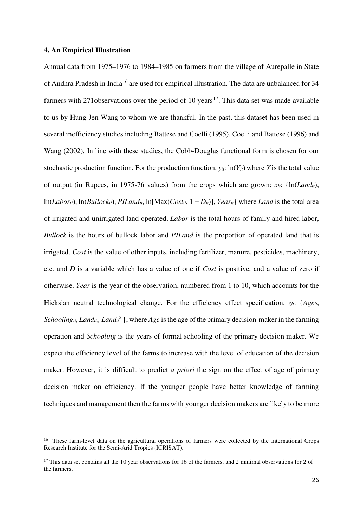# **4. An Empirical Illustration**

<u>.</u>

Annual data from 1975–1976 to 1984–1985 on farmers from the village of Aurepalle in State of Andhra Pradesh in India[16](#page-26-0) are used for empirical illustration. The data are unbalanced for 34 farmers with 271 observations over the period of 10 years<sup>[17](#page-26-1)</sup>. This data set was made available to us by Hung-Jen Wang to whom we are thankful. In the past, this dataset has been used in several inefficiency studies including Battese and Coelli (1995), Coelli and Battese (1996) and Wang (2002). In line with these studies, the Cobb-Douglas functional form is chosen for our stochastic production function. For the production function,  $y_{it}$ : ln( $Y_{it}$ ) where *Y* is the total value of output (in Rupees, in 1975-76 values) from the crops which are grown;  $x_{ii}$ : { $\ln(Land_{ii})$ , ln(*Labor<sub>it</sub>*), ln(*Bullock<sub>it</sub>*), *PILand<sub>it</sub>*, ln[Max( $Cost_{it}$ , 1 − *D<sub>it</sub>*)], *Year<sub>it</sub>*} where *Land* is the total area of irrigated and unirrigated land operated, *Labor* is the total hours of family and hired labor, *Bullock* is the hours of bullock labor and *PILand* is the proportion of operated land that is irrigated. *Cost* is the value of other inputs, including fertilizer, manure, pesticides, machinery, etc. and *D* is a variable which has a value of one if *Cost* is positive, and a value of zero if otherwise. *Year* is the year of the observation, numbered from 1 to 10, which accounts for the Hicksian neutral technological change. For the efficiency effect specification, *zit*: {*Ageit*, *Schooling<sub>it</sub>*, *Land<sub>it</sub>*, *Land<sub>it</sub>*<sup>2</sup>, where *Age* is the age of the primary decision-maker in the farming operation and *Schooling* is the years of formal schooling of the primary decision maker. We expect the efficiency level of the farms to increase with the level of education of the decision maker. However, it is difficult to predict *a priori* the sign on the effect of age of primary decision maker on efficiency. If the younger people have better knowledge of farming techniques and management then the farms with younger decision makers are likely to be more

<span id="page-26-0"></span><sup>&</sup>lt;sup>16</sup> These farm-level data on the agricultural operations of farmers were collected by the International Crops Research Institute for the Semi-Arid Tropics (ICRISAT).

<span id="page-26-1"></span><sup>&</sup>lt;sup>17</sup> This data set contains all the 10 year observations for 16 of the farmers, and 2 minimal observations for 2 of the farmers.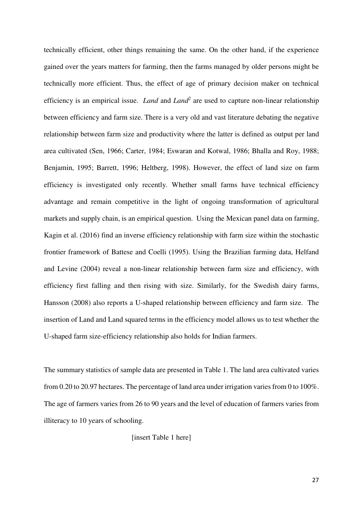technically efficient, other things remaining the same. On the other hand, if the experience gained over the years matters for farming, then the farms managed by older persons might be technically more efficient. Thus, the effect of age of primary decision maker on technical efficiency is an empirical issue. *Land* and *Land<sup>2</sup>* are used to capture non-linear relationship between efficiency and farm size. There is a very old and vast literature debating the negative relationship between farm size and productivity where the latter is defined as output per land area cultivated (Sen, 1966; Carter, 1984; Eswaran and Kotwal, 1986; Bhalla and Roy, 1988; Benjamin, 1995; Barrett, 1996; Heltberg, 1998). However, the effect of land size on farm efficiency is investigated only recently. Whether small farms have technical efficiency advantage and remain competitive in the light of ongoing transformation of agricultural markets and supply chain, is an empirical question. Using the Mexican panel data on farming, Kagin et al. (2016) find an inverse efficiency relationship with farm size within the stochastic frontier framework of Battese and Coelli (1995). Using the Brazilian farming data, Helfand and Levine (2004) reveal a non-linear relationship between farm size and efficiency, with efficiency first falling and then rising with size. Similarly, for the Swedish dairy farms, Hansson (2008) also reports a U-shaped relationship between efficiency and farm size. The insertion of Land and Land squared terms in the efficiency model allows us to test whether the U-shaped farm size-efficiency relationship also holds for Indian farmers.

The summary statistics of sample data are presented in Table 1. The land area cultivated varies from 0.20 to 20.97 hectares. The percentage of land area under irrigation varies from 0 to 100%. The age of farmers varies from 26 to 90 years and the level of education of farmers varies from illiteracy to 10 years of schooling.

[insert Table 1 here]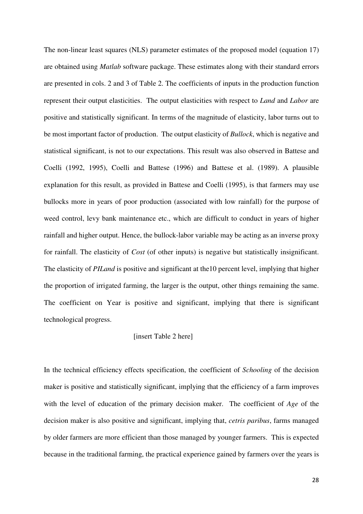The non-linear least squares (NLS) parameter estimates of the proposed model (equation 17) are obtained using *Matlab* software package. These estimates along with their standard errors are presented in cols. 2 and 3 of Table 2. The coefficients of inputs in the production function represent their output elasticities. The output elasticities with respect to *Land* and *Labor* are positive and statistically significant. In terms of the magnitude of elasticity, labor turns out to be most important factor of production. The output elasticity of *Bullock*, which is negative and statistical significant, is not to our expectations. This result was also observed in Battese and Coelli (1992, 1995), Coelli and Battese (1996) and Battese et al. (1989). A plausible explanation for this result, as provided in Battese and Coelli (1995), is that farmers may use bullocks more in years of poor production (associated with low rainfall) for the purpose of weed control, levy bank maintenance etc., which are difficult to conduct in years of higher rainfall and higher output. Hence, the bullock-labor variable may be acting as an inverse proxy for rainfall. The elasticity of *Cost* (of other inputs) is negative but statistically insignificant. The elasticity of *PILand* is positive and significant at the10 percent level, implying that higher the proportion of irrigated farming, the larger is the output, other things remaining the same. The coefficient on Year is positive and significant, implying that there is significant technological progress.

# [insert Table 2 here]

In the technical efficiency effects specification, the coefficient of *Schooling* of the decision maker is positive and statistically significant, implying that the efficiency of a farm improves with the level of education of the primary decision maker. The coefficient of *Age* of the decision maker is also positive and significant, implying that, *cetris paribus*, farms managed by older farmers are more efficient than those managed by younger farmers. This is expected because in the traditional farming, the practical experience gained by farmers over the years is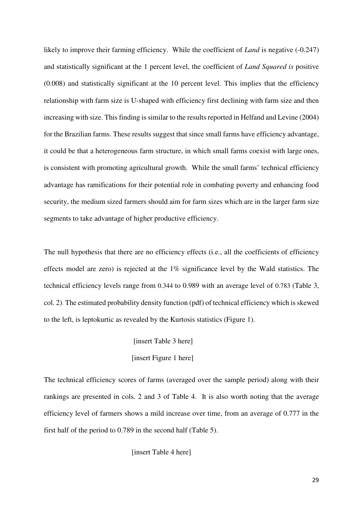likely to improve their farming efficiency. While the coefficient of *Land* is negative (-0.247) and statistically significant at the 1 percent level, the coefficient of *Land Squared is* positive (0.008) and statistically significant at the 10 percent level. This implies that the efficiency relationship with farm size is U-shaped with efficiency first declining with farm size and then increasing with size. This finding is similar to the results reported in Helfand and Levine (2004) for the Brazilian farms. These results suggest that since small farms have efficiency advantage, it could be that a heterogeneous farm structure, in which small farms coexist with large ones, is consistent with promoting agricultural growth. While the small farms' technical efficiency advantage has ramifications for their potential role in combating poverty and enhancing food security, the medium sized farmers should aim for farm sizes which are in the larger farm size segments to take advantage of higher productive efficiency.

The null hypothesis that there are no efficiency effects (i.e., all the coefficients of efficiency effects model are zero) is rejected at the 1% significance level by the Wald statistics. The technical efficiency levels range from 0.344 to 0.989 with an average level of 0.783 (Table 3, col. 2). The estimated probability density function (pdf) of technical efficiency which is skewed to the left, is leptokurtic as revealed by the Kurtosis statistics (Figure 1).

# [insert Table 3 here] [insert Figure 1 here]

The technical efficiency scores of farms (averaged over the sample period) along with their rankings are presented in cols. 2 and 3 of Table 4. It is also worth noting that the average efficiency level of farmers shows a mild increase over time, from an average of 0.777 in the first half of the period to 0.789 in the second half (Table 5).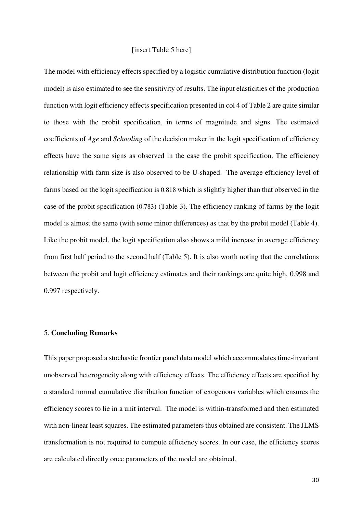# [insert Table 5 here]

The model with efficiency effects specified by a logistic cumulative distribution function (logit model) is also estimated to see the sensitivity of results. The input elasticities of the production function with logit efficiency effects specification presented in col 4 of Table 2 are quite similar to those with the probit specification, in terms of magnitude and signs. The estimated coefficients of *Age* and *Schooling* of the decision maker in the logit specification of efficiency effects have the same signs as observed in the case the probit specification. The efficiency relationship with farm size is also observed to be U-shaped. The average efficiency level of farms based on the logit specification is 0.818 which is slightly higher than that observed in the case of the probit specification (0.783) (Table 3). The efficiency ranking of farms by the logit model is almost the same (with some minor differences) as that by the probit model (Table 4). Like the probit model, the logit specification also shows a mild increase in average efficiency from first half period to the second half (Table 5). It is also worth noting that the correlations between the probit and logit efficiency estimates and their rankings are quite high, 0.998 and 0.997 respectively.

# 5. **Concluding Remarks**

This paper proposed a stochastic frontier panel data model which accommodates time-invariant unobserved heterogeneity along with efficiency effects. The efficiency effects are specified by a standard normal cumulative distribution function of exogenous variables which ensures the efficiency scores to lie in a unit interval. The model is within-transformed and then estimated with non-linear least squares. The estimated parameters thus obtained are consistent. The JLMS transformation is not required to compute efficiency scores. In our case, the efficiency scores are calculated directly once parameters of the model are obtained.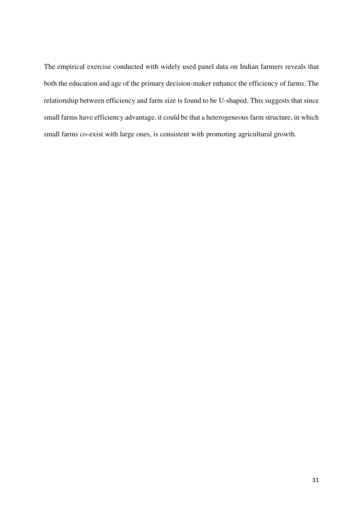The empirical exercise conducted with widely used panel data on Indian farmers reveals that both the education and age of the primary decision-maker enhance the efficiency of farms. The relationship between efficiency and farm size is found to be U-shaped. This suggests that since small farms have efficiency advantage, it could be that a heterogeneousfarm structure, in which small farms co-exist with large ones, is consistent with promoting agricultural growth.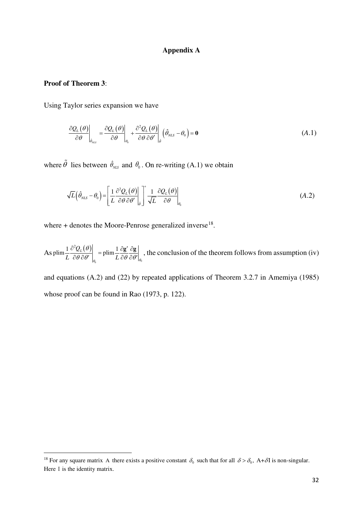# **Appendix A**

# **Proof of Theorem 3**:

<u>.</u>

Using Taylor series expansion we have

$$
\left. \frac{\partial Q_L(\theta)}{\partial \theta} \right|_{\hat{\theta}_{NLS}} = \left. \frac{\partial Q_L(\theta)}{\partial \theta} \right|_{\theta_0} + \left. \frac{\partial^2 Q_L(\theta)}{\partial \theta \partial \theta'} \right|_{\hat{\theta}} \left( \hat{\theta}_{NLS} - \theta_0 \right) = \mathbf{0} \tag{A.1}
$$

where  $\tilde{\theta}$  lies between  $\hat{\theta}_{NLS}$  and  $\theta_0$ . On re-writing (A.1) we obtain

$$
\sqrt{L}\left(\hat{\theta}_{NLS} - \theta_0\right) = \left[\frac{1}{L} \frac{\partial^2 Q_L(\theta)}{\partial \theta \partial \theta'}\Big|_{\hat{\theta}}\right] + \frac{1}{\sqrt{L}} \frac{\partial Q_L(\theta)}{\partial \theta}\Big|_{\theta_0}
$$
(A.2)

where  $+$  denotes the Moore-Penrose generalized inverse<sup>[18](#page-32-0)</sup>.

As plim  $\frac{1}{I} \frac{\partial^2 Q_L(\theta)}{\partial \theta \partial \theta'}$ 0  $\left[\text{plim}\frac{1}{2}\frac{\partial^2 Q_L(\theta)}{\partial^2 Q_R(\theta)}\right] = \text{plim}\frac{1}{2}$  $L$   $\partial \theta$   $\partial \theta'$   $\Big|_{\theta_0}$   $\qquad \qquad$   $L$   $\partial \theta$   $\partial \theta' \Big|_{\theta_0}$ θ  $\theta \frac{\partial \theta'}{\partial t}$   $\begin{bmatrix} 1 & \cos \theta \\ 0 & \cos \theta \end{bmatrix}$  $\frac{\partial^2 Q_L(\theta)}{\partial \theta \partial \theta'}$  = plim  $\frac{1}{L} \frac{\partial g'}{\partial \theta} \frac{\partial g}{\partial \theta'}\Big|_a$ , the conclusion of the theorem follows from assumption (iv)

and equations (A.2) and (22) by repeated applications of Theorem 3.2.7 in Amemiya (1985) whose proof can be found in Rao (1973, p. 122).

<span id="page-32-0"></span><sup>&</sup>lt;sup>18</sup> For any square matrix A there exists a positive constant  $\delta_0$  such that for all  $\delta > \delta_0$ , A+ $\delta$ I is non-singular. Here I is the identity matrix.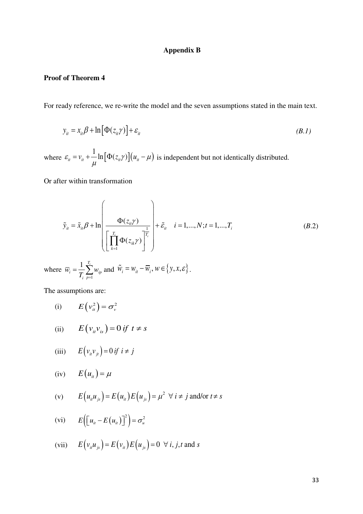# **Appendix B**

# **Proof of Theorem 4**

For ready reference, we re-write the model and the seven assumptions stated in the main text.

$$
y_{it} = x_{it} \beta + \ln \left[ \Phi(z_{it} \gamma) \right] + \varepsilon_{it}
$$
\n(B.1)

where  $\varepsilon_{ii} = v_{ii} + \frac{1}{\mu} \ln \left[ \Phi(z_{ii} \gamma) \right] (u_{ii} - \mu)$ is independent but not identically distributed.

Or after within transformation

$$
\tilde{y}_{it} = \tilde{x}_{it} \beta + \ln \left( \frac{\Phi(z_{it}\gamma)}{\left[ \prod_{k=1}^{T_i} \Phi(z_{ik}\gamma) \right]^{\frac{1}{T_i}}} \right) + \tilde{\varepsilon}_{it} \quad i = 1,..., N; t = 1,..., T_i \tag{B.2}
$$

where 1  $1 \frac{T_i}{T_i}$  $i = \frac{1}{T} \sum w_{ip}$ *i p*  $\overline{w}_i = \frac{1}{m} \sum_{i=1}^{n} w_i$  $=\frac{1}{T_i}\sum_{p=1}^{T_i}w_{ip}$  and  $\tilde{W}_i = W_{it} - \overline{W}_i, W \in \{y, x, \varepsilon\}$ .

The assumptions are:

(i)  $E(v_{it}^2) = \sigma_v^2$ 

(ii) 
$$
E(v_{it}v_{is}) = 0 \text{ if } t \neq s
$$

(iii) 
$$
E(v_{ii}v_{ji}) = 0 \text{ if } i \neq j
$$

$$
(iv) \tE(u_{it}) = \mu
$$

(v) 
$$
E(u_{ii}u_{js}) = E(u_{ii})E(u_{js}) = \mu^2 \ \forall \ i \neq j \text{ and/or } t \neq s
$$

$$
(vi) \t E([u_{it}-E(u_{it})])^{2}) = \sigma_{u}^{2}
$$

(vii) 
$$
E(v_iu_{is}) = E(v_i)E(u_{is}) = 0 \ \forall i, j, t \text{ and } s
$$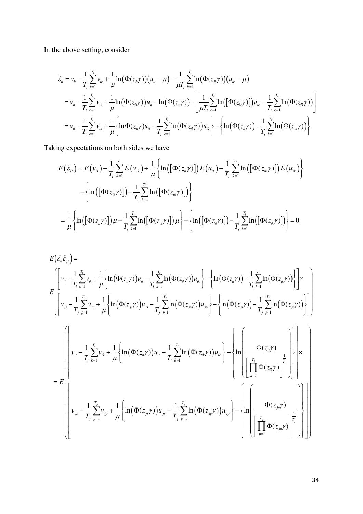In the above setting, consider

$$
\tilde{\varepsilon}_{ii} = v_{ii} - \frac{1}{T_i} \sum_{k=1}^{T_i} v_{ik} + \frac{1}{\mu} \ln(\Phi(z_{ii}\gamma)) (u_{ii} - \mu) - \frac{1}{\mu T_i} \sum_{k=1}^{T_i} \ln(\Phi(z_{ik}\gamma)) (u_{ik} - \mu)
$$
\n
$$
= v_{ii} - \frac{1}{T_i} \sum_{k=1}^{T_i} v_{ik} + \frac{1}{\mu} \ln(\Phi(z_{ii}\gamma)) u_{ii} - \ln(\Phi(z_{ii}\gamma)) - \left[ \frac{1}{\mu T_i} \sum_{k=1}^{T_i} \ln([\Phi(z_{ik}\gamma)]) u_{ik} - \frac{1}{T_i} \sum_{k=1}^{T_i} \ln(\Phi(z_{ik}\gamma)) \right]
$$
\n
$$
= v_{ii} - \frac{1}{T_i} \sum_{k=1}^{T_i} v_{ik} + \frac{1}{\mu} \left\{ \ln \Phi(z_{ii}\gamma) u_{ii} - \frac{1}{T_i} \sum_{k=1}^{T_i} \ln(\Phi(z_{ik}\gamma)) u_{ik} \right\} - \left\{ \ln(\Phi(z_{ii}\gamma)) - \frac{1}{T_i} \sum_{k=1}^{T_i} \ln(\Phi(z_{ik}\gamma)) \right\}
$$

Taking expectations on both sides we have

$$
E(\tilde{\varepsilon}_{ii}) = E(\nu_{ii}) - \frac{1}{T_i} \sum_{k=1}^{T_i} E(\nu_{ik}) + \frac{1}{\mu} \left\{ \ln\left(\left[\Phi(z_{ii}\gamma)\right]\right) E(u_{ii}) - \frac{1}{T_i} \sum_{k=1}^{T_i} \ln\left(\left[\Phi(z_{ik}\gamma)\right]\right) E(u_{ik}) \right\} - \left\{ \ln\left(\left[\Phi(z_{ii}\gamma)\right]\right) - \frac{1}{T_i} \sum_{k=1}^{T_i} \ln\left(\left[\Phi(z_{ik}\gamma)\right]\right) \right\} = \frac{1}{\mu} \left\{ \ln\left(\left[\Phi(z_{ii}\gamma)\right]\right) \mu - \frac{1}{T_i} \sum_{k=1}^{T_i} \ln\left(\left[\Phi(z_{ik}\gamma)\right]\right) \mu \right\} - \left\{ \ln\left(\left[\Phi(z_{ii}\gamma)\right]\right) - \frac{1}{T_i} \sum_{k=1}^{T_i} \ln\left(\left[\Phi(z_{ik}\gamma)\right]\right) \right\} = 0
$$

$$
E(\tilde{\varepsilon}_{u}\tilde{\varepsilon}_{j_{s}}) =
$$
\n
$$
E\left[\tilde{v}_{u} - \frac{1}{T_{i}}\sum_{k=1}^{T_{i}}v_{ik} + \frac{1}{\mu}\left\{\ln(\Phi(z_{u}\gamma))u_{u} - \frac{1}{T_{i}}\sum_{k=1}^{T_{i}}\ln(\Phi(z_{u}\gamma))u_{ik}\right\} - \left\{\ln(\Phi(z_{u}\gamma)) - \frac{1}{T_{i}}\sum_{k=1}^{T_{i}}\ln(\Phi(z_{u}\gamma))\right\}\right] \times
$$
\n
$$
E\left[\left[v_{j_{s}} - \frac{1}{T_{j}}\sum_{p=1}^{T_{j}}v_{jp} + \frac{1}{\mu}\left\{\ln(\Phi(z_{j_{s}}\gamma))u_{j_{s}} - \frac{1}{T_{j}}\sum_{p=1}^{T_{j}}\ln(\Phi(z_{jp}\gamma))u_{jp}\right\} - \left\{\ln(\Phi(z_{j_{s}}\gamma)) - \frac{1}{T_{j}}\sum_{p=1}^{T_{j}}\ln(\Phi(z_{jp}\gamma))\right\}\right]\right]
$$
\n
$$
= E\left[\left[v_{u} - \frac{1}{T_{i}}\sum_{k=1}^{T_{i}}v_{ik} + \frac{1}{\mu}\left\{\ln(\Phi(z_{u}\gamma))u_{u} - \frac{1}{T_{i}}\sum_{k=1}^{T_{i}}\ln(\Phi(z_{u}\gamma))u_{ik}\right\} - \left\{\ln\left(\frac{\Phi(z_{u}\gamma)}{\left[\prod_{k=1}^{T_{i}}\Phi(z_{ik}\gamma)\right]^{\frac{1}{T_{i}}}}\right\}\right)\right\} \times
$$
\n
$$
= E\left[\left[v_{u} - \frac{1}{T_{i}}\sum_{k=1}^{T_{j}}v_{ik} + \frac{1}{\mu}\left\{\ln(\Phi(z_{j_{s}}\gamma))u_{j_{s}} - \frac{1}{T_{i}}\sum_{k=1}^{T_{j}}\ln(\Phi(z_{j_{s}}\gamma))u_{jp}\right\} - \left\{\ln\left(\frac{\Phi(z_{j_{s}}\gamma)}{\left[\prod_{k=1}^{T_{i}}\Phi(z_{j_{k}}\gamma)\right] - \frac{1}{T_{i}}\sum_{k=1}^{T_{j}}\sum_{k=1}^{T_{j}}\sum_{k=1}^{T_{j}}\sum_{k=1}^{T_{j}}\
$$

 $T_j \stackrel{\beta}{\longrightarrow} T_{j} \stackrel{\eta}{\longrightarrow} \mu \left[ \begin{array}{cc} \left( \begin{array}{cc} \left( \begin{array}{cc} \beta_1, \beta_2 \end{array} \right) & \beta_1 \end{array} \right) & T_{j} \stackrel{\eta}{\longrightarrow} T_{j} \stackrel{\eta}{\longrightarrow} \end{array} \right] \quad \left[ \begin{array}{c} T_j \ \left[ \begin{array}{c} T_j \ \left[ \begin{array}{c} \phi(z_{jp}) \end{array} \right) & \left[ \begin{array}{c} \phi(z_{jp}) \end{array} \right] \end{array} \right] \end{array} \right]$  $\left( \left[ \begin{array}{cc} \left[ \begin{array}{cc} 1 & \mathbf{1} \mathbf{1} \mathbf{1} \mathbf{1} \end{array} \begin{array}{c} \mathbf{1} \mathbf{1} \end{array} \begin{array}{c} \mathbf{1} \end{array} \begin{array}{c} \mathbf{1} \end{array} \begin{array}{c} \mathbf{1} \end{array} \begin{array}{c} \mathbf{1} \end{array} \begin{array}{c} \mathbf{1} \end{array} \begin{array}{c} \mathbf{1} \end{array} \begin{array}{c} \mathbf{1} \end{array} \begin{array}{c} \mathbf{1} \end$ 

 $\mu$   $\mu$   $\mu$ 

 $\frac{1}{p}$   $\frac{1}{p}$   $\frac{1}{p}$   $\frac{1}{p}$ 

*j*  $p=1$   $\qquad \qquad \mu$  |  $\qquad \qquad \qquad$   $\qquad \qquad$   $\qquad \qquad$   $\qquad \qquad$   $\qquad \qquad$   $\qquad \qquad$   $\qquad \qquad$   $\qquad \qquad$   $\qquad \qquad$   $\qquad \qquad$   $\qquad \qquad$   $\qquad \qquad$   $\qquad \qquad$   $\qquad \qquad$   $\qquad \qquad$   $\qquad \qquad$   $\qquad \qquad$   $\qquad \qquad$   $\qquad \qquad$   $\qquad \qquad$   $\qquad \qquad$   $\qquad \q$ 

 $T_i \stackrel{\sim}{\longrightarrow} T$   $\mu$   $\left| \begin{array}{cc} & \left( \begin{array}{cc} & \left( \begin{array}{cc} & \left( \begin{array}{cc} & \left( \begin{array}{cc} & \left( \begin{array}{cc} & \left( \begin{array}{cc} & \left( \begin{array}{cc} & \left( \begin{array}{cc} & \left( \begin{array}{cc} & \left( \begin{array}{cc} & \left( \begin{array}{cc} & \left( \begin{array}{cc} & \left( \begin{array}{cc} & \left( \begin{array}{cc} & \left( \begin{array}{c} & \left( \begin{array}{c} & \left( \begin{array}{c} & \left$ 

1

=

∏

*p*

 $\int d^2z \phi(z_{in}\gamma) \Big|^{T_j}$ 

γ

 $T_j$  **T** *jp*

*z*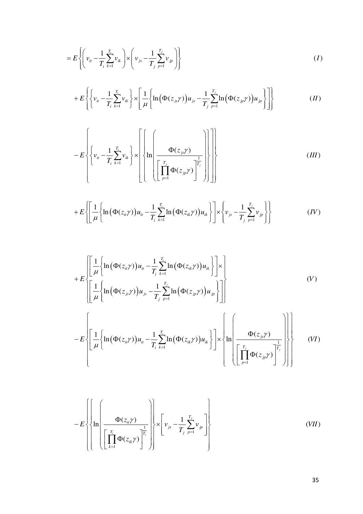$$
= E\left\{ \left( v_{it} - \frac{1}{T_i} \sum_{k=1}^{T_i} v_{ik} \right) \times \left( v_{js} - \frac{1}{T_j} \sum_{p=1}^{T_j} v_{jp} \right) \right\}
$$
 (I)

$$
+E\left\{\left\{\nu_{ir}-\frac{1}{T_i}\sum_{k=1}^{T_i}\nu_{ik}\right\}\times\left[\frac{1}{\mu}\left\{\ln\left(\Phi(z_{js}\gamma)\right)u_{js}-\frac{1}{T_j}\sum_{p=1}^{T_j}\ln\left(\Phi(z_{jp}\gamma)\right)u_{jp}\right\}\right]\right\}\qquad (II)
$$

$$
-E\left\{\left\{v_{ii} - \frac{1}{T_i} \sum_{k=1}^{T_i} v_{ik}\right\} \times \left[\left\{\ln \left(\frac{\Phi(z_{j,i}\gamma)}{\left[\prod_{p=1}^{T_j} \Phi(z_{jp}\gamma)\right]^{\frac{1}{T_j}}}\right)\right\}\right]\right\}
$$
(III)

$$
+ E\left\{ \left[ \frac{1}{\mu} \left\{ \ln \left( \Phi(z_{it}\gamma) \right) u_{it} - \frac{1}{T_i} \sum_{k=1}^{T_i} \ln \left( \Phi(z_{ik}\gamma) \right) u_{ik} \right\} \right] \times \left\{ v_{js} - \frac{1}{T_j} \sum_{p=1}^{T_j} v_{jp} \right\} \right\}
$$
(IV)

$$
+E\left\{\left[\frac{1}{\mu}\left\{\ln\left(\Phi(z_{ii}\gamma)\right)u_{ii}-\frac{1}{T_{i}}\sum_{k=1}^{T_{i}}\ln\left(\Phi(z_{ik}\gamma)\right)u_{ik}\right\}\right] \times\right\}+E\left\{\left[\frac{1}{\mu}\left\{\ln\left(\Phi(z_{j},\gamma)\right)u_{js}-\frac{1}{T_{j}}\sum_{p=1}^{T_{j}}\ln\left(\Phi(z_{jp}\gamma)\right)u_{jp}\right\}\right]\right\}-E\left\{\left[\frac{1}{\mu}\left\{\ln\left(\Phi(z_{ii}\gamma)\right)u_{ii}-\frac{1}{T_{i}}\sum_{k=1}^{T_{i}}\ln\left(\Phi(z_{ik}\gamma)\right)u_{ik}\right\}\right] \times\left\{\ln\left(\frac{\Phi(z_{js}\gamma)}{\left[\prod_{p=1}^{T_{j}}\Phi(z_{jp}\gamma)\right]^{\frac{1}{T_{j}}}}\right)\right\}\right\}
$$
(V)

$$
-E\left\{\left\{\ln\left(\frac{\Phi(z_{it}\gamma)}{\left[\prod_{k=1}^{T_i}\Phi(z_{ik}\gamma)\right]^{\frac{1}{T_i}}}\right)\right\}\times\left[\nu_{js}-\frac{1}{T_j}\sum_{p=1}^{T_j}\nu_{jp}\right]\right\}\tag{VII}
$$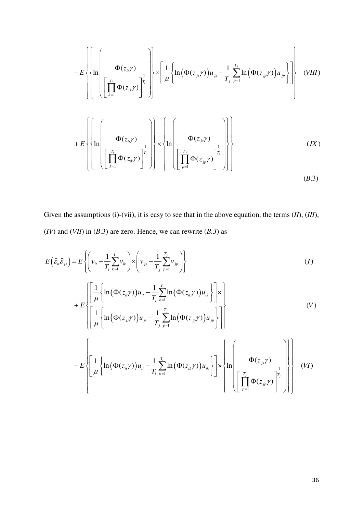$$
-E\left\{\left\{\ln\left(\frac{\Phi(z_{i1}\gamma)}{\left[\prod_{k=1}^{T_{i}}\Phi(z_{ik}\gamma)\right]^{\frac{1}{T_{i}}}}\right)\times\left[\frac{1}{\mu}\left\{\ln\left(\Phi(z_{j1}\gamma)\right)u_{j1}-\frac{1}{T_{j1}}\sum_{p=1}^{T_{j1}}\ln\left(\Phi(z_{jp}\gamma)\right)u_{jp}\right\}\right]\right\}
$$
(VIII)  
+
$$
+E\left\{\left\{\ln\left(\frac{\Phi(z_{i1}\gamma)}{\left[\prod_{k=1}^{T_{i}}\Phi(z_{ik}\gamma)\right]^{\frac{1}{T_{i}}}}\right)\times\left\{\ln\left(\frac{\Phi(z_{j1}\gamma)}{\left[\prod_{p=1}^{T_{i}}\Phi(z_{j1}\gamma)\right]^{\frac{1}{T_{i}}}}\right)\right\}\right\}
$$
(IX)

Given the assumptions (i)-(vii), it is easy to see that in the above equation, the terms (*II*), (*III*), (*IV*) and (*VII*) in (*B*.3) are zero. Hence, we can rewrite (*B.3*) as

$$
E(\tilde{\varepsilon}_{ii}\tilde{\varepsilon}_{js}) = E\left\{ \left( v_{ii} - \frac{1}{T_i} \sum_{k=1}^{T_i} v_{ik} \right) \times \left( v_{js} - \frac{1}{T_j} \sum_{p=1}^{T_j} v_{jp} \right) \right\}
$$
\n
$$
+ E\left\{ \left[ \frac{1}{\mu} \left\{ \ln \left( \Phi(z_{ii}\gamma) \right) u_{ii} - \frac{1}{T_i} \sum_{k=1}^{T_i} \ln \left( \Phi(z_{ik}\gamma) \right) u_{ik} \right\} \right] \times \left[ \frac{1}{\mu} \left\{ \ln \left( \Phi(z_{js}\gamma) \right) u_{js} - \frac{1}{T_j} \sum_{p=1}^{T_j} \ln \left( \Phi(z_{jp}\gamma) \right) u_{jp} \right\} \right] \right\}
$$
\n
$$
- E\left\{ \left[ \frac{1}{\mu} \left\{ \ln \left( \Phi(z_{ii}\gamma) \right) u_{ii} - \frac{1}{T_i} \sum_{k=1}^{T_i} \ln \left( \Phi(z_{ik}\gamma) \right) u_{ik} \right\} \right] \times \left\{ \ln \left( \frac{\Phi(z_{js}\gamma)}{\left[ \prod_{p=1}^{T_j} \Phi(z_{jp}\gamma) \right]^{\frac{1}{T_j}} \right) \right\}
$$
\n(V)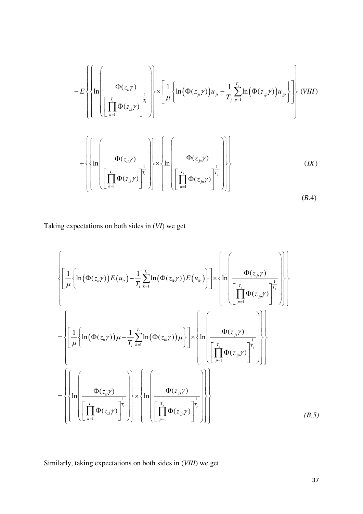$$
-E\left\{\left\{\ln\left(\frac{\Phi(z_{ii}\gamma)}{\left[\prod_{k=1}^{T_{i}}\Phi(z_{ik}\gamma)\right]_{i}}\right)\right\}\times\left[\frac{1}{\mu}\left\{\ln\left(\Phi(z_{js}\gamma)\right)u_{js}-\frac{1}{T_{j}}\sum_{p=1}^{T_{j}}\ln\left(\Phi(z_{jp}\gamma)\right)u_{jp}\right\}\right\}\right\}
$$
(VIII)  
+
$$
\left\{\left\{\ln\left(\frac{\Phi(z_{ii}\gamma)}{\left[\prod_{k=1}^{T_{i}}\Phi(z_{ik}\gamma)\right]_{i}}\right\}\times\left\{\ln\left(\frac{\Phi(z_{js}\gamma)}{\left[\prod_{p=1}^{T_{j}}\Phi(z_{jp}\gamma)\right]_{i}}\right)\right\}\right\}
$$
(IX)  
(IX)

Taking expectations on both sides in (*VI*) we get

$$
\left\{\left[\frac{1}{\mu}\left\{\ln\left(\Phi(z_{ii}\gamma)\right)E(u_{ii}\right)-\frac{1}{T_{i}}\sum_{k=1}^{T_{i}}\ln\left(\Phi(z_{ik}\gamma)\right)E(u_{ik})\right\}\right]\times\left\{\ln\left(\frac{\Phi(z_{j}\gamma)}{\left[\prod_{p=1}^{T_{i}}\Phi(z_{jp}\gamma)\right]^\frac{1}{T_{j}}}\right)\right\}
$$
\n
$$
=\left\{\left[\frac{1}{\mu}\left\{\ln\left(\Phi(z_{ii}\gamma)\right)\mu-\frac{1}{T_{i}}\sum_{k=1}^{T_{i}}\ln\left(\Phi(z_{ik}\gamma)\right)\mu\right\}\right]\times\left\{\ln\left(\frac{\Phi(z_{j}\gamma)}{\left[\prod_{p=1}^{T_{j}}\Phi(z_{jp}\gamma)\right]^\frac{1}{T_{j}}}\right)\right\}\right\}
$$
\n
$$
=\left\{\left\{\ln\left(\frac{\Phi(z_{ii}\gamma)}{\left[\prod_{k=1}^{T_{i}}\Phi(z_{ik}\gamma)\right]^\frac{1}{T_{i}}}\right)\right\}\times\left\{\ln\left(\frac{\Phi(z_{j}\gamma)}{\left[\prod_{p=1}^{T_{j}}\Phi(z_{jp}\gamma)\right]^\frac{1}{T_{j}}}\right)\right\}\right\}
$$
\n(B.5)

Similarly, taking expectations on both sides in (*VIII*) we get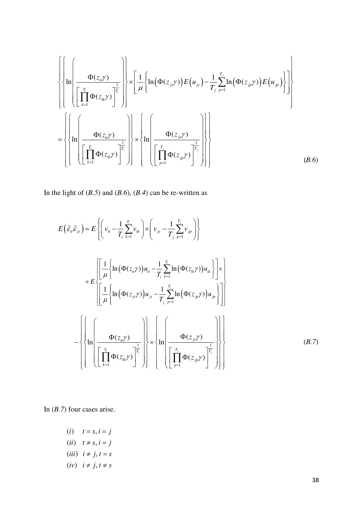$$
\left\{\left\{\ln\left(\frac{\Phi(z_{ij}\gamma)}{\left[\prod_{k=1}^{T_i}\Phi(z_{ik}\gamma)\right]^{\frac{1}{T_i}}}\right)\right\}\times\left[\frac{1}{\mu}\left\{\ln\left(\Phi(z_{js}\gamma)\right)E(u_{js}\right)-\frac{1}{T_j}\sum_{p=1}^{T_j}\ln\left(\Phi(z_{jp}\gamma)\right)E(u_{jp})\right\}\right\}
$$
\n
$$
=\left\{\left\{\ln\left(\frac{\Phi(z_{ii}\gamma)}{\left[\prod_{k=1}^{T_i}\Phi(z_{ik}\gamma)\right]^{\frac{1}{T_i}}}\right)\right\}\times\left\{\ln\left(\frac{\Phi(z_{js}\gamma)}{\left[\prod_{p=1}^{T_j}\Phi(z_{jp}\gamma)\right]^{\frac{1}{T_j}}}\right)\right\}\right\}
$$
\n(B.6)

In the light of (*B.5*) and (*B.6*), (*B.4*) can be re-written as

$$
E(\tilde{\varepsilon}_{ii}\tilde{\varepsilon}_{js}) = E\left\{ \left( v_{ii} - \frac{1}{T_{i}} \sum_{k=1}^{T_{i}} v_{ik} \right) \times \left( v_{js} - \frac{1}{T_{j}} \sum_{p=1}^{T_{j}} v_{jp} \right) \right\}
$$
  
+ 
$$
E\left\{ \left[ \frac{1}{\mu} \left\{ \ln \left( \Phi(z_{ii}\gamma) \right) u_{ii} - \frac{1}{T_{i}} \sum_{k=1}^{T_{i}} \ln \left( \Phi(z_{ik}\gamma) \right) u_{ik} \right\} \right] \times \left[ \frac{1}{\mu} \left\{ \ln \left( \Phi(z_{ij}\gamma) \right) u_{js} - \frac{1}{T_{j}} \sum_{p=1}^{T_{j}} \ln \left( \Phi(z_{jp}\gamma) \right) u_{jp} \right\} \right] \right\}
$$
  
- 
$$
\left\{ \left\{ \ln \left( \frac{\Phi(z_{ii}\gamma)}{\left[ \prod_{k=1}^{T_{i}} \Phi(z_{ik}\gamma) \right]^{T_{i}}} \right\} \times \left\{ \ln \left( \frac{\Phi(z_{js}\gamma)}{\left[ \prod_{p=1}^{T_{j}} \Phi(z_{jp}\gamma) \right]^{T_{j}}} \right) \right\} \right\}
$$
(B.7)

In (*B.7*) four cases arise.

- $(i)$   $t = s, i = j$  $(ii)$   $t \neq s, i = j$
- $(iii)$   $i \neq j, t = s$
- $(iv)$   $i \neq j, t \neq s$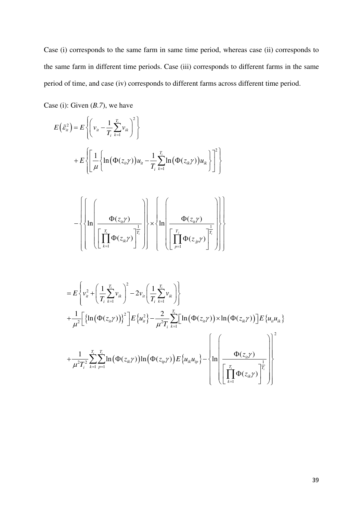Case (i) corresponds to the same farm in same time period, whereas case (ii) corresponds to the same farm in different time periods. Case (iii) corresponds to different farms in the same period of time, and case (iv) corresponds to different farms across different time period.

Case (i): Given (*B.7*), we have

$$
E(\tilde{\varepsilon}_{n}^{2}) = E\left\{\left(v_{n} - \frac{1}{T_{i}}\sum_{k=1}^{T_{i}}v_{ik}\right)^{2}\right\}
$$
  
+ 
$$
E\left\{\left[\frac{1}{\mu}\left\{\ln(\Phi(z_{n}\gamma))u_{n} - \frac{1}{T_{i}}\sum_{k=1}^{T_{i}}\ln(\Phi(z_{n}\gamma))u_{ik}\right\}\right]^{2}\right\}
$$
  
- 
$$
\left\{\left\{\ln\left(\frac{\Phi(z_{n}\gamma)}{\left[\prod_{k=1}^{T_{i}}\Phi(z_{n}\gamma)\right]^{\frac{1}{T_{i}}}}\right\}\times\left\{\ln\left(\frac{\Phi(z_{n}\gamma)}{\left[\prod_{p=1}^{T_{i}}\Phi(z_{p}\gamma)\right]^{\frac{1}{T_{i}}}}\right)\right\}\right\}
$$
  
= 
$$
E\left\{v_{n}^{2} + \left(\frac{1}{T_{i}}\sum_{k=1}^{T_{i}}v_{ik}\right)^{2} - 2v_{n}\left(\frac{1}{T_{i}}\sum_{k=1}^{T_{i}}v_{ik}\right)\right\}
$$
  
+ 
$$
\frac{1}{\mu^{2}}\left[\left\{\ln(\Phi(z_{n}\gamma))\right\}^{2}\right]E\left\{u_{n}^{2} - \frac{2}{\mu^{2}T_{i}}\sum_{k=1}^{T_{i}}\ln(\Phi(z_{n}\gamma))\times\ln(\Phi(z_{n}\gamma))\right\}E\left\{u_{n}u_{n}\right\}
$$
  
+ 
$$
\frac{1}{\mu^{2}T_{i}^{2}}\sum_{k=1}^{T_{i}}\sum_{p=1}^{T_{i}}\ln(\Phi(z_{n}\gamma))\ln(\Phi(z_{p}\gamma))E\left\{u_{k}u_{ip}\right\}-\left\{\ln\left(\frac{\Phi(z_{n}\gamma)}{\prod \Phi(z_{n}\gamma)}\right)^{\frac{1}{T_{i}}}\right\}
$$

1

=

*k*

*ik*

 $\begin{bmatrix} 1 & 1 \\ k-1 & 1 \end{bmatrix}$ 

 $\left[\begin{array}{cc} \sqrt{2} & -1 \\ -1 & -1 \end{array}\right]$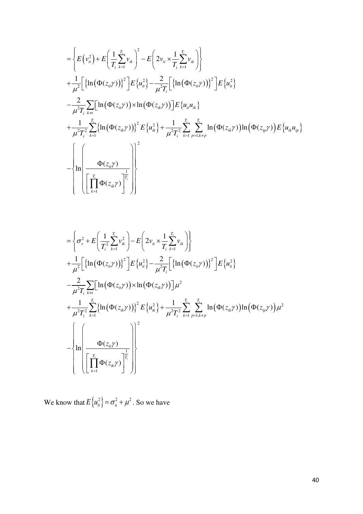$$
= \left\{ E(v_{u}^{2}) + E\left(\frac{1}{T_{i}}\sum_{k=1}^{T_{i}}v_{ik}\right)^{2} - E\left(2v_{u} \times \frac{1}{T_{i}}\sum_{k=1}^{T_{i}}v_{ik}\right) \right\} + \frac{1}{\mu^{2}} \left[ \left\{ \ln(\Phi(z_{u}\gamma)) \right\}^{2} \right] E\left\{u_{u}^{2}\right\} - \frac{2}{\mu^{2}T_{i}} \left[ \left\{ \ln(\Phi(z_{u}\gamma)) \right\}^{2} \right] E\left\{u_{u}^{2}\right\} - \frac{2}{\mu^{2}T_{i}} \sum_{k=1}^{T_{i}} \left[ \ln(\Phi(z_{u}\gamma)) \times \ln(\Phi(z_{u}\gamma)) \right] E\left\{u_{u}u_{ik}\right\} + \frac{1}{\mu^{2}T_{i}^{2}} \sum_{k=1}^{T_{i}} \left\{ \ln(\Phi(z_{u}\gamma)) \right\}^{2} E\left\{u_{k}^{2}\right\} + \frac{1}{\mu^{2}T_{i}^{2}} \sum_{k=1}^{T_{i}} \sum_{p=1, k\neq p}^{T_{i}} \ln(\Phi(z_{u}\gamma)) \ln(\Phi(z_{ip}\gamma)) E\left\{u_{ik}u_{ip}\right\} - \left\{ \ln \left(\frac{\Phi(z_{u}\gamma)}{\left[\prod_{k=1}^{T_{i}} \Phi(z_{ik}\gamma)\right]^{\frac{1}{T_{i}}}} \right) \right\}^{2}
$$

$$
= \left\{\sigma_{v}^{2} + E\left(\frac{1}{T_{i}^{2}}\sum_{k=1}^{T_{i}} v_{ik}^{2}\right) - E\left(2v_{it} \times \frac{1}{T_{i}}\sum_{k=1}^{T_{i}} v_{ik}\right)\right\}+ \frac{1}{\mu^{2}}\left[\left\{\ln(\Phi(z_{it}\gamma))\right\}^{2}\right] E\left\{u_{it}^{2}\right\} - \frac{2}{\mu^{2}T_{i}}\left[\left\{\ln(\Phi(z_{it}\gamma))\right\}^{2}\right] E\left\{u_{it}^{2}\right\}- \frac{2}{\mu^{2}T_{i}}\sum_{k=1}^{T_{i}}\left[\ln(\Phi(z_{it}\gamma)) \times \ln(\Phi(z_{it}\gamma))\right] \mu^{2}+ \frac{1}{\mu^{2}T_{i}^{2}}\sum_{k=1}^{T_{i}}\left\{\ln(\Phi(z_{it}\gamma))\right\}^{2} E\left\{u_{ik}^{2}\right\} + \frac{1}{\mu^{2}T_{i}^{2}}\sum_{k=1}^{T_{i}}\sum_{p=1, k\neq p}^{T_{i}}\ln(\Phi(z_{it}\gamma)) \ln(\Phi(z_{ip}\gamma)) \mu^{2}- \left\{\ln\left(\frac{\Phi(z_{it}\gamma)}{\left[\prod_{k=1}^{T_{i}}\Phi(z_{ik}\gamma)\right]^{1}}\right)\right\}^{2}
$$

We know that  $E\left\{u_{it}^2\right\} = \sigma_u^2 + \mu^2$ . So we have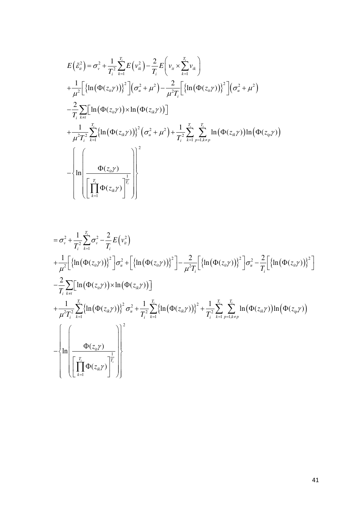$$
E(\tilde{\varepsilon}_{u}^{2}) = \sigma_{v}^{2} + \frac{1}{T_{i}^{2}} \sum_{k=1}^{T_{i}} E(v_{ik}^{2}) - \frac{2}{T_{i}} E(v_{ik} \times \sum_{k=1}^{T_{i}} v_{ik})
$$
  
+ 
$$
\frac{1}{\mu^{2}} \Big[ \{ \ln(\Phi(z_{ii}\gamma)) \}^{2} \Big] (\sigma_{u}^{2} + \mu^{2}) - \frac{2}{\mu^{2} T_{i}} \Big[ \{ \ln(\Phi(z_{ii}\gamma)) \}^{2} \Big] (\sigma_{u}^{2} + \mu^{2})
$$
  
- 
$$
\frac{2}{T_{i}} \sum_{k \neq i} \Big[ \ln(\Phi(z_{ii}\gamma)) \times \ln(\Phi(z_{ik}\gamma)) \Big]
$$
  
+ 
$$
\frac{1}{\mu^{2} T_{i}^{2}} \sum_{k=1}^{T_{i}} \{ \ln(\Phi(z_{ik}\gamma)) \}^{2} (\sigma_{u}^{2} + \mu^{2}) + \frac{1}{T_{i}^{2}} \sum_{k=1}^{T_{i}} \sum_{p=1, k \neq p}^{T_{i}} \ln(\Phi(z_{ik}\gamma)) \ln(\Phi(z_{ip}\gamma))
$$
  
- 
$$
\Bigg[ \ln \Bigg( \frac{\Phi(z_{ii}\gamma)}{\Big[ \prod_{k=1}^{T_{i}} \Phi(z_{ik}\gamma) \Big]^{1/2}} \Bigg) \Bigg]^{2}
$$

$$
= \sigma_v^2 + \frac{1}{T_i^2} \sum_{k=1}^{T_i} \sigma_v^2 - \frac{2}{T_i} E(v_i^2)
$$
  
+ 
$$
\frac{1}{\mu^2} \Big[ \{ \ln(\Phi(z_{ii}\gamma)) \}^2 \Big] \sigma_u^2 + \Big[ \{ \ln(\Phi(z_{ii}\gamma)) \}^2 \Big] - \frac{2}{\mu^2 T_i} \Big[ \{ \ln(\Phi(z_{ii}\gamma)) \}^2 \Big] \sigma_u^2 - \frac{2}{T_i} \Big[ \{ \ln(\Phi(z_{ii}\gamma)) \}^2 \Big] \sigma_u^2 - \frac{2}{T_i} \Big[ \{ \ln(\Phi(z_{ii}\gamma)) \}^2 \Big] \sigma_u^2 - \frac{2}{T_i} \Big[ \{ \ln(\Phi(z_{ii}\gamma)) \}^2 \Big] \sigma_u^2
$$
  
+ 
$$
\frac{1}{\mu^2 T_i^2} \sum_{k=1}^{T_i} \{ \ln(\Phi(z_{ik}\gamma)) \}^2 \sigma_u^2 + \frac{1}{T_i^2} \sum_{k=1}^{T_i} \{ \ln(\Phi(z_{ik}\gamma)) \}^2 + \frac{1}{T_i^2} \sum_{k=1}^{T_i} \sum_{p=1, k\neq p}^{T_i} \ln(\Phi(z_{ik}\gamma)) \ln(\Phi(z_{ip}\gamma))
$$
  
- 
$$
\left\{ \ln \left( \frac{\Phi(z_{ii}\gamma)}{\Big[ \prod_{k=1}^{T_i} \Phi(z_{ik}\gamma) \Big] \right]^{\frac{1}{T_i}} \right) \Bigg\}
$$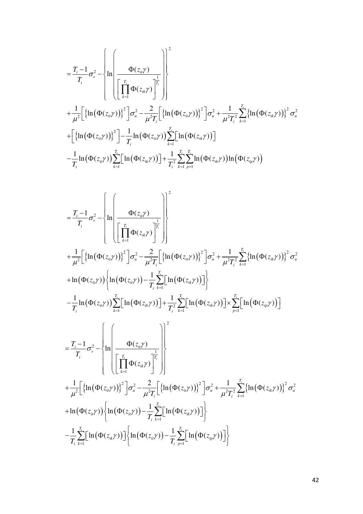$$
= \frac{T_{i}-1}{T_{i}}\sigma_{v}^{2} - \left\{\ln\left(\frac{\Phi(z_{i1}\gamma)}{\left[\prod_{k=1}^{T_{i}}\Phi(z_{ik}\gamma)\right]^{T_{i}}}\right)\right\}^{2}
$$
  
+ 
$$
\frac{1}{\mu^{2}}\left[\left\{\ln(\Phi(z_{i1}\gamma))\right\}^{2}\right]\sigma_{u}^{2} - \frac{2}{\mu^{2}T_{i}}\left[\left\{\ln(\Phi(z_{i1}\gamma))\right\}^{2}\right]\sigma_{u}^{2} + \frac{1}{\mu^{2}T_{i}^{2}}\sum_{k=1}^{T_{i}}\left\{\ln(\Phi(z_{i2}\gamma))\right\}^{2}\sigma_{u}^{2}
$$

$$
+ \left[\left\{\ln(\Phi(z_{i1}\gamma))\right\}^{2}\right] - \frac{1}{T_{i}}\ln(\Phi(z_{i1}\gamma))\sum_{k=1}^{T_{i}}\left[\ln(\Phi(z_{i2}\gamma))\right]
$$

$$
- \frac{1}{T_{i}}\ln(\Phi(z_{i1}\gamma))\sum_{k=1}^{T_{i}}\left[\ln(\Phi(z_{i2}\gamma))\right] + \frac{1}{T_{i}^{2}}\sum_{k=1}^{T_{i}}\sum_{p=1}^{T_{i}}\ln(\Phi(z_{i2}\gamma))\ln(\Phi(z_{i2}\gamma))
$$

$$
= \frac{T_{i}-1}{T_{i}}\sigma_{v}^{2} - \left\{\ln\left(\frac{\Phi(z_{ii}\gamma)}{\left[\prod_{k=1}^{T_{i}}\Phi(z_{ik}\gamma)\right]^{2}}\right)\right\}^{2}
$$
\n
$$
+ \frac{1}{\mu^{2}}\left[\left\{\ln(\Phi(z_{ii}\gamma))\right\}^{2}\right]\sigma_{u}^{2} - \frac{2}{\mu^{2}T_{i}}\left[\left\{\ln(\Phi(z_{ii}\gamma))\right\}^{2}\right]\sigma_{u}^{2} + \frac{1}{\mu^{2}T_{i}^{2}}\sum_{k=1}^{T_{i}}\left\{\ln(\Phi(z_{ik}\gamma))\right\}^{2}\sigma_{u}^{2}
$$
\n
$$
+ \ln(\Phi(z_{ii}\gamma))\left\{\ln(\Phi(z_{ii}\gamma)) - \frac{1}{T_{i}}\sum_{k=1}^{T_{i}}\left[\ln(\Phi(z_{ii}\gamma))\right]\right\}
$$
\n
$$
- \frac{1}{T_{i}}\ln(\Phi(z_{ii}\gamma))\sum_{k=1}^{T_{i}}\left[\ln(\Phi(z_{ii}\gamma))\right] + \frac{1}{T_{i}^{2}}\sum_{k=1}^{T_{i}}\left[\ln(\Phi(z_{ik}\gamma))\right] \times \sum_{p=1}^{T_{i}}\left[\ln(\Phi(z_{ip}\gamma))\right]
$$
\n
$$
= \frac{T_{i}-1}{T_{i}}\sigma_{v}^{2} - \left\{\ln\left(\frac{\Phi(z_{ii}\gamma)}{\left[\prod_{k=1}^{T_{i}}\Phi(z_{ik}\gamma)\right]^{2}}\right\}\right]^{2}
$$
\n
$$
+ \frac{1}{\mu^{2}}\left[\left\{\ln(\Phi(z_{ii}\gamma))\right\}^{2}\right]\sigma_{u}^{2} - \frac{2}{\mu^{2}T_{i}}\left[\left\{\ln(\Phi(z_{ii}\gamma))\right\}^{2}\right]\sigma_{u}^{2} + \frac{1}{\mu^{2}T_{i}^{2}}\sum_{k=1}^{T_{i}}\left\{\ln(\Phi(z_{ik}\gamma))\right\}^{2}\sigma_{u}^{2}
$$
\n
$$
+ \ln(\Phi(z_{ii}\gamma))\left\{\ln(\Phi(z_{ii}\gamma)) - \frac{1}{T_{i}}\sum_{k=1}^{T_{i}}\left[\ln(\Phi(z_{ii}\gamma))\right]\right\}
$$
\n
$$
- \frac{1}{T_{i}}\sum
$$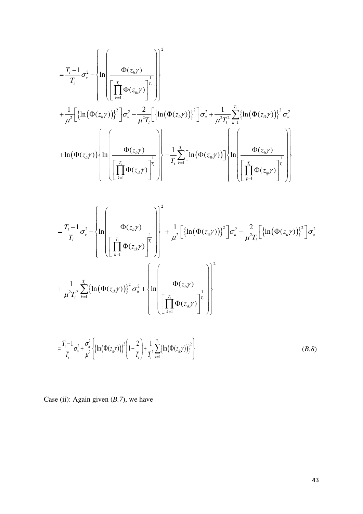$$
= \frac{T_i - 1}{T_i} \sigma_v^2 - \left\{ \ln \left( \frac{\Phi(z_{ii}\gamma)}{\left[ \prod_{k=1}^T \Phi(z_{ik}\gamma) \right]^{\frac{1}{T_i}}} \right) \right\}^2
$$
  
+ 
$$
\frac{1}{\mu^2} \left[ \left\{ \ln (\Phi(z_{ii}\gamma)) \right\}^2 \right] \sigma_u^2 - \frac{2}{\mu^2 T_i} \left[ \left\{ \ln (\Phi(z_{ii}\gamma)) \right\}^2 \right] \sigma_u^2 + \frac{1}{\mu^2 T_i^2} \sum_{k=1}^{T_i} \left\{ \ln (\Phi(z_{ik}\gamma)) \right\}^2 \sigma_u^2
$$
  
+ 
$$
\ln (\Phi(z_{ii}\gamma)) \left\{ \ln \left( \frac{\Phi(z_{ii}\gamma)}{\left[ \prod_{k=1}^{T_i} \Phi(z_{ik}\gamma) \right]^{\frac{1}{T_i}}} \right) \right\} - \frac{1}{T_i} \sum_{k=1}^{T_i} \left[ \ln (\Phi(z_{ik}\gamma)) \right] \left\{ \ln \left( \frac{\Phi(z_{ii}\gamma)}{\left[ \prod_{p=1}^{T_i} \Phi(z_{ip}\gamma) \right]^{\frac{1}{T_i}}} \right) \right\}
$$

$$
= \frac{T_i - 1}{T_i} \sigma_v^2 - \left\{ \ln \left( \frac{\Phi(z_{ii}\gamma)}{\left[ \prod_{k=1}^T \Phi(z_{ik}\gamma) \right]^{\frac{1}{T_i}}} \right) \right\}^2 + \frac{1}{\mu^2} \left[ \left\{ \ln \left( \Phi(z_{ii}\gamma) \right) \right\}^2 \right] \sigma_u^2 - \frac{2}{\mu^2 T_i} \left[ \left\{ \ln \left( \Phi(z_{ii}\gamma) \right) \right\}^2 \right] \sigma_u^2
$$
  
+ 
$$
\frac{1}{\mu^2 T_i^2} \sum_{k=1}^{T_i} \left\{ \ln \left( \Phi(z_{ik}\gamma) \right) \right\}^2 \sigma_u^2 + \left\{ \ln \left( \frac{\Phi(z_{ii}\gamma)}{\left[ \prod_{k=1}^{T_i} \Phi(z_{ik}\gamma) \right]^{\frac{1}{T_i}}} \right) \right\}^2
$$
  
= 
$$
\frac{T_i - 1}{T_i} \sigma_v^2 + \frac{\sigma_u^2}{\mu^2} \left\{ \left[ \ln \left( \Phi(z_{ii}\gamma) \right) \right]^2 \left( 1 - \frac{2}{T_i} \right) + \frac{1}{T_i^2} \sum_{k=1}^{T_i} \left\{ \ln \left( \Phi(z_{ik}\gamma) \right) \right\}^2 \right\}
$$
(B.8)

Case (ii): Again given (*B.7*), we have

*i i i k*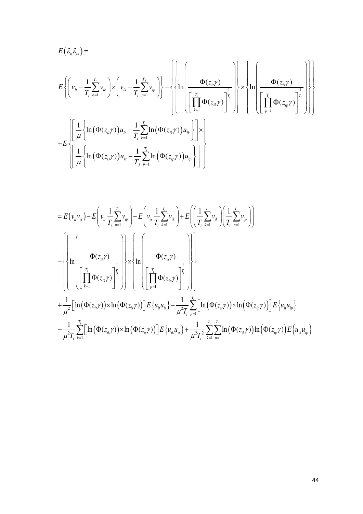$$
E\left\{\left(v_{u} - \frac{1}{T_{i}}\sum_{k=1}^{T_{i}}v_{ik}\right) \times \left(v_{is} - \frac{1}{T_{i}}\sum_{p=1}^{T_{i}}v_{ip}\right)\right\} - \left\{\left\{\ln\left(\frac{\Phi(z_{ii}\gamma)}{\prod_{k=1}^{T_{i}}\Phi(z_{ik}\gamma)}\right)\right\} \times \left\{\ln\left(\frac{\Phi(z_{ii}\gamma)}{\prod_{p=1}^{T_{i}}\Phi(z_{ik}\gamma)}\right)\right\}
$$

$$
+ E\left\{\left[\frac{1}{\mu}\left\{\ln\left(\Phi(z_{ii}\gamma)\right)u_{u} - \frac{1}{T_{i}}\sum_{k=1}^{T_{i}}\ln\left(\Phi(z_{ik}\gamma)\right)u_{ik}\right\}\right] \times \left\{\ln\left(\frac{\pi_{i}}{\prod_{p=1}^{T_{i}}\Phi(z_{ip}\gamma)}\right)\right\}
$$

$$
+ E\left\{\left[\frac{1}{\mu}\left\{\ln\left(\Phi(z_{is}\gamma)\right)u_{is} - \frac{1}{T_{i}}\sum_{p=1}^{T_{i}}\ln\left(\Phi(z_{ip}\gamma)\right)u_{ip}\right\}\right]\right\}
$$

$$
= E(v_{u}v_{is}) - E\left(v_{u}\frac{1}{T_{i}}\sum_{p=1}^{T_{i}}v_{ip}\right) - E\left(v_{is}\frac{1}{T_{i}}\sum_{k=1}^{T_{i}}v_{ik}\right) + E\left(\left(\frac{1}{T_{i}}\sum_{k=1}^{T_{i}}v_{ik}\right)\left(\frac{1}{T_{i}}\sum_{p=1}^{T_{i}}v_{ip}\right)\right)
$$
  

$$
- \left\{\left(\prod_{k=1}^{T_{i}}\Phi(z_{it}\gamma)\right) - \left(\prod_{k=1}^{T_{i}}\Phi(z_{it}\gamma)\right)\right\} \times \left\{\ln\left(\frac{\Phi(z_{is}\gamma)}{\prod_{p=1}^{T_{i}}\Phi(z_{ip}\gamma)}\right)\right\}
$$
  

$$
+ \frac{1}{\mu^{2}}\left[\ln\left(\Phi(z_{it}\gamma)\right) \times \ln\left(\Phi(z_{is}\gamma)\right)\right] E\left\{u_{it}u_{is}\right\} - \frac{1}{\mu^{2}T_{i}}\sum_{p=1}^{T_{i}}\left[\ln\left(\Phi(z_{it}\gamma)\right) \times \ln\left(\Phi(z_{it}\gamma)\right)\right] E\left\{u_{it}u_{ip}\right\}
$$
  

$$
- \frac{1}{\mu^{2}T_{i}}\sum_{k=1}^{T_{i}}\left[\ln\left(\Phi(z_{ik}\gamma)\right) \times \ln\left(\Phi(z_{is}\gamma)\right)\right] E\left\{u_{ik}u_{is}\right\} + \frac{1}{\mu^{2}T_{i}^{2}}\sum_{k=1}^{T_{i}}\sum_{p=1}^{T_{i}}\ln\left(\Phi(z_{it}\gamma)\right) \ln\left(\Phi(z_{ip}\gamma)\right) E\left\{u_{ik}u_{ip}\right\}
$$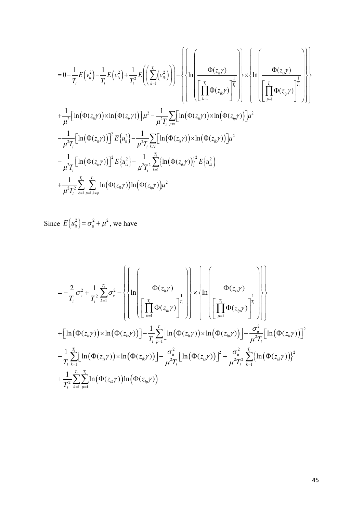$$
= 0 - \frac{1}{T_{i}} E(v_{ii}^{2}) - \frac{1}{T_{i}} E(v_{ii}^{2}) + \frac{1}{T_{i}^{2}} E\left(\left(\sum_{k=1}^{T_{i}} (v_{ik}^{2})\right)\right) - \left\{\left\{\ln \left(\frac{\Phi(z_{ii}\gamma)}{\left[\prod_{k=1}^{T_{i}} \Phi(z_{ik}\gamma)\right]^{\frac{1}{T_{i}}}}\right\}\right\} \times \left\{\ln \left(\frac{\Phi(z_{ii}\gamma)}{\left[\prod_{k=1}^{T_{i}} \Phi(z_{ik}\gamma)\right]^{\frac{1}{T_{i}}}}\right\}\right\}
$$
  
+ 
$$
\frac{1}{\mu^{2}} \left[\ln (\Phi(z_{ii}\gamma)) \times \ln (\Phi(z_{ii}\gamma))\right] \mu^{2} - \frac{1}{\mu^{2}T_{i}} \sum_{p \neq i} \left[\ln (\Phi(z_{ii}\gamma)) \times \ln (\Phi(z_{ip}\gamma))\right] \mu^{2}
$$
  
- 
$$
\frac{1}{\mu^{2}T_{i}} \left[\ln (\Phi(z_{ii}\gamma))\right]^{2} E\left\{\mu_{ii}^{2}\right\} - \frac{1}{\mu^{2}T_{i}} \sum_{k \neq s} \left[\ln (\Phi(z_{ik}\gamma)) \times \ln (\Phi(z_{ik}\gamma))\right] \mu^{2}
$$
  
- 
$$
\frac{1}{\mu^{2}T_{i}} \left[\ln (\Phi(z_{ii}\gamma))\right]^{2} E\left\{\mu_{is}^{2}\right\} + \frac{1}{\mu^{2}T_{i}} \sum_{k=1}^{T_{i}} \left\{\ln (\Phi(z_{ik}\gamma))\right\}^{2} E\left\{\mu_{ik}^{2}\right\}
$$
  
+ 
$$
\frac{1}{\mu^{2}T_{i}^{2}} \sum_{k=1}^{T_{i}} \sum_{p=1, k \neq p}^{T_{i}} \ln (\Phi(z_{ik}\gamma)) \ln (\Phi(z_{ip}\gamma)) \mu^{2}
$$

Since  $E\left\{u_{ii}^2\right\} = \sigma_u^2 + \mu^2$ , we have

$$
= -\frac{2}{T_i}\sigma_v^2 + \frac{1}{T_i^2}\sum_{k=1}^{T_i}\sigma_v^2 - \left\{\left\{\ln\left(\frac{\Phi(z_{ii}\gamma)}{\prod_{k=1}^{T_i}\Phi(z_{ik}\gamma)}\right)^{\frac{1}{T_i}}\right\} \times \left\{\ln\left(\frac{\Phi(z_{i3}\gamma)}{\prod_{p=1}^{T_i}\Phi(z_{ip}\gamma)}\right)^{\frac{1}{T_i}}\right\}\right\}
$$
  
+ 
$$
\left[\ln(\Phi(z_{ii}\gamma)) \times \ln(\Phi(z_{i3}\gamma))\right] - \frac{1}{T_i}\sum_{p=1}^{T_i}\left[\ln(\Phi(z_{i3}\gamma)) \times \ln(\Phi(z_{ip}\gamma))\right] - \frac{\sigma_u^2}{\mu^2 T_i}\left[\ln(\Phi(z_{i3}\gamma))\right]^2
$$

$$
-\frac{1}{T_i}\sum_{k=1}^{T_i}\left[\ln(\Phi(z_{i3}\gamma)) \times \ln(\Phi(z_{i3}\gamma))\right] - \frac{\sigma_u^2}{\mu^2 T_i}\left[\ln(\Phi(z_{i3}\gamma))\right]^2 + \frac{\sigma_u^2}{\mu^2 T_i^2}\sum_{k=1}^{T_i}\left\{\ln(\Phi(z_{i3}\gamma))\right\}^2
$$

$$
+\frac{1}{T_i^2}\sum_{k=1}^{T_i}\sum_{p=1}^{T_i}\ln(\Phi(z_{ik}\gamma))\ln(\Phi(z_{ip}\gamma))
$$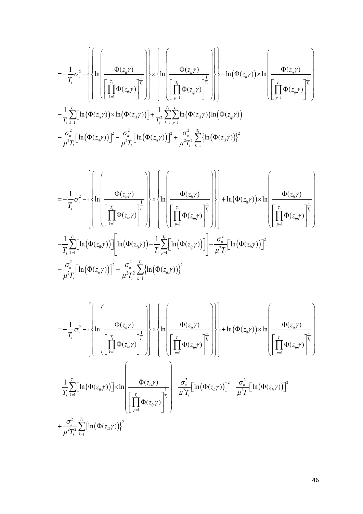$$
= -\frac{1}{T_i} \sigma_v^2 - \left\{ \left\{ \ln \left( \frac{\Phi(z_{ii}\gamma)}{\left[ \prod_{k=1}^T \Phi(z_{ik}\gamma) \right]^{\frac{1}{T_i}}} \right\} \times \left\{ \ln \left( \frac{\Phi(z_{i},\gamma)}{\left[ \prod_{p=1}^T \Phi(z_{ip}\gamma) \right]^{\frac{1}{T_i}}} \right) \right\} + \ln(\Phi(z_{ii}\gamma)) \times \ln \left( \frac{\Phi(z_{i},\gamma)}{\left[ \prod_{p=1}^T \Phi(z_{ip}\gamma) \right]^{\frac{1}{T_i}}} \right) \right\}
$$

$$
- \frac{1}{T_i} \sum_{k=1}^{T_i} \left[ \ln(\Phi(z_{i},\gamma)) \times \ln(\Phi(z_{ik}\gamma)) \right] + \frac{1}{T_i^2} \sum_{k=1}^{T_i} \sum_{p=1}^{T_i} \ln(\Phi(z_{ik}\gamma)) \ln(\Phi(z_{ip}\gamma))
$$

$$
- \frac{\sigma_u^2}{\mu^2 T_i} \left[ \ln(\Phi(z_{i},\gamma)) \right]^2 - \frac{\sigma_u^2}{\mu^2 T_i} \left[ \ln(\Phi(z_{i},\gamma)) \right]^2 + \frac{\sigma_u^2}{\mu^2 T_i^2} \sum_{k=1}^{T_i} \left\{ \ln(\Phi(z_{i},\gamma)) \right\}^2
$$

$$
= -\frac{1}{T_i} \sigma_v^2 - \left\{ \left\{ \ln \left( \frac{\Phi(z_{ii} \gamma)}{\left[ \prod_{k=1}^T \Phi(z_{ik} \gamma) \right]^{\frac{1}{T_i}}} \right) \times \left\{ \ln \left( \frac{\Phi(z_{i3} \gamma)}{\left[ \prod_{p=1}^T \Phi(z_{ip} \gamma) \right]^{\frac{1}{T_i}}} \right) \right\} + \ln(\Phi(z_{ii} \gamma)) \times \ln \left( \frac{\Phi(z_{i3} \gamma)}{\left[ \prod_{p=1}^T \Phi(z_{ip} \gamma) \right]^{\frac{1}{T_i}}} \right) \right\}
$$

$$
- \frac{1}{T_i} \sum_{k=1}^{T_i} \left[ \ln(\Phi(z_{ik} \gamma)) \right] \left[ \ln(\Phi(z_{is} \gamma)) - \frac{1}{T_i} \sum_{p=1}^{T_i} \left[ \ln(\Phi(z_{ip} \gamma)) \right] \right] - \frac{\sigma_u^2}{\mu^2 T_i} \left[ \ln(\Phi(z_{ii} \gamma)) \right]^2
$$

$$
- \frac{\sigma_u^2}{\mu^2 T_i} \left[ \ln(\Phi(z_{is} \gamma)) \right]^2 + \frac{\sigma_u^2}{\mu^2 T_i^2} \sum_{k=1}^{T_i} \left\{ \ln(\Phi(z_{ik} \gamma)) \right\}^2
$$

$$
= -\frac{1}{T_i} \sigma_v^2 - \left\{ \left\{ \ln \left( \frac{\Phi(z_{ii}\gamma)}{\left[ \prod_{k=1}^T \Phi(z_{ik}\gamma) \right]^{\frac{1}{T_i}}} \right) \right\} \times \left\{ \ln \left( \frac{\Phi(z_{i3}\gamma)}{\left[ \prod_{k=1}^T \Phi(z_{ik}\gamma) \right]^{\frac{1}{T_i}}} \right) \right\} + \ln(\Phi(z_{ii}\gamma)) \times \ln \left( \frac{\Phi(z_{i3}\gamma)}{\left[ \prod_{k=1}^T \Phi(z_{ik}\gamma) \right]^{\frac{1}{T_i}}} \right) \right\}
$$

$$
- \frac{1}{T_i} \sum_{k=1}^{T_i} \left[ \ln(\Phi(z_{ik}\gamma)) \right] \times \ln \left( \frac{\Phi(z_{i3}\gamma)}{\left[ \prod_{p=1}^T \Phi(z_{ip}\gamma) \right]^{\frac{1}{T_i}}} \right) - \frac{\sigma_u^2}{\mu^2 T_i} \left[ \ln(\Phi(z_{ii}\gamma)) \right]^2 - \frac{\sigma_u^2}{\mu^2 T_i} \left[ \ln(\Phi(z_{i3}\gamma)) \right]^2
$$

$$
+ \frac{\sigma_u^2}{\mu^2 T_i^2} \sum_{k=1}^{T_i} \left\{ \ln(\Phi(z_{ik}\gamma)) \right\}^2
$$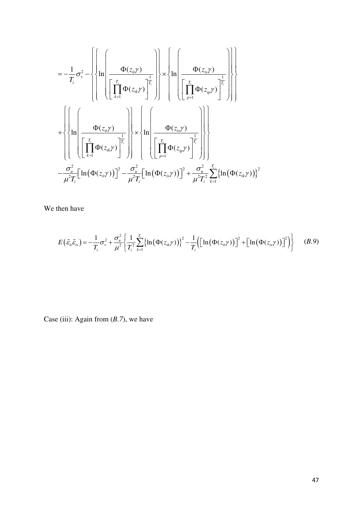$$
= -\frac{1}{T_i} \sigma_v^2 - \left\{ \left\{ \ln \left( \frac{\Phi(z_{ii}\gamma)}{\left[ \prod_{k=1}^{T_i} \Phi(z_{ik}\gamma) \right]^{\frac{1}{T_i}}}\right) \times \left\{ \ln \left( \frac{\Phi(z_{ij}\gamma)}{\left[ \prod_{p=1}^{T_i} \Phi(z_{ip}\gamma) \right]^{\frac{1}{T_i}}}\right) \right\} \right\}
$$
  
+ 
$$
\left\{ \left\{ \ln \left( \frac{\Phi(z_{ii}\gamma)}{\left[ \prod_{k=1}^{T_i} \Phi(z_{ik}\gamma) \right]^{\frac{1}{T_i}}}\right) \times \left\{ \ln \left( \frac{\Phi(z_{is}\gamma)}{\left[ \prod_{p=1}^{T_i} \Phi(z_{ip}\gamma) \right]^{\frac{1}{T_i}}}\right) \right\} \right\}
$$
  
- 
$$
\frac{\sigma_u^2}{\mu^2 T_i} \left[ \ln (\Phi(z_{ii}\gamma)) \right]^2 - \frac{\sigma_u^2}{\mu^2 T_i} \left[ \ln (\Phi(z_{is}\gamma)) \right]^2 + \frac{\sigma_u^2}{\mu^2 T_i^2} \sum_{k=1}^{T_i} \left\{ \ln (\Phi(z_{ik}\gamma)) \right\}^2
$$

We then have

$$
E(\tilde{\varepsilon}_u \tilde{\varepsilon}_s) = -\frac{1}{T_i} \sigma_v^2 + \frac{\sigma_u^2}{\mu^2} \left\{ \frac{1}{T_i^2} \sum_{k=1}^{T_i} \left\{ \ln \left( \Phi(z_{ik}\gamma) \right) \right\}^2 - \frac{1}{T_i} \left( \left[ \ln \left( \Phi(z_{ii}\gamma) \right) \right]^2 + \left[ \ln \left( \Phi(z_{is}\gamma) \right) \right]^2 \right) \right\} \quad (B.9)
$$

Case (iii): Again from (*B.7*), we have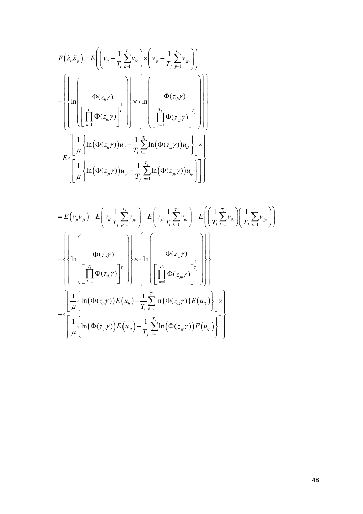$$
E(\tilde{\varepsilon}_{u}\tilde{\varepsilon}_{j_{l}}) = E\left(\left(v_{u} - \frac{1}{T_{i}}\sum_{k=1}^{T_{i}}v_{ik}\right) \times \left(v_{j_{l}} - \frac{1}{T_{j}}\sum_{p=1}^{T_{j}}v_{j_{p}}\right)\right)
$$
  

$$
- \left\{\left\{\ln\left(\frac{\Phi(z_{i_{l}}\gamma)}{\prod_{k=1}^{T_{i}}\Phi(z_{i_{k}}\gamma)}\right\}\right\} \times \left\{\ln\left(\frac{\Phi(z_{j_{l}}\gamma)}{\prod_{p=1}^{T_{j}}\Phi(z_{j_{p}}\gamma)}\right)\right\}
$$
  
+
$$
E\left\{\left[\frac{1}{\mu}\left\{\ln\left(\Phi(z_{i_{l}}\gamma)\right)u_{u} - \frac{1}{T_{i}}\sum_{k=1}^{T_{i}}\ln\left(\Phi(z_{i_{k}}\gamma)\right)u_{ik}\right\}\right] \times \left\{\ln\left(\frac{1}{\mu}\left\{\ln\left(\Phi(z_{j_{l}}\gamma)\right)u_{j} - \frac{1}{T_{j}}\sum_{p=1}^{T_{j}}\ln\left(\Phi(z_{j_{p}}\gamma)\right)u_{ip}\right\}\right\}\right\}
$$

$$
= E(v_{ii}v_{ji}) - E\left(v_{ii}\frac{1}{T_j}\sum_{p=1}^{T_j}v_{jp}\right) - E\left(v_{ji}\frac{1}{T_i}\sum_{k=1}^{T_i}v_{ik}\right) + E\left(\left(\frac{1}{T_i}\sum_{k=1}^{T_i}v_{ik}\right)\left(\frac{1}{T_j}\sum_{p=1}^{T_j}v_{jp}\right)\right)
$$
  

$$
- \left\{\left(\prod_{k=1}^{T_i}\Phi(z_{ii}\gamma)\right) - \left(\prod_{k=1}^{T_i}\Phi(z_{ii}\gamma)\right) - \left(\prod_{k=1}^{T_i}\Phi(z_{ii}\gamma)\right)\right\} \times \left\{\prod_{p=1}^{T_i}\Phi(z_{jp}\gamma)\right\} - \left(\prod_{p=1}^{T_j}\Phi(z_{ip}\gamma)\right) - \left(\prod_{p=1}^{T_i}\Phi(z_{ii}\gamma)\right)E(u_{ii})\right\} \times \left\{\left[\frac{1}{\mu}\left\{\ln\left(\Phi(z_{ii}\gamma)\right)E(u_{ii}\right) - \frac{1}{T_i}\sum_{k=1}^{T_i}\ln\left(\Phi(z_{ii}\gamma)\right)E(u_{ii})\right\}\right] \times \left[\frac{1}{\mu}\left\{\ln\left(\Phi(z_{ji}\gamma)\right)E(u_{ji}\right) - \frac{1}{T_j}\sum_{p=1}^{T_j}\ln\left(\Phi(z_{jp}\gamma)\right)E(u_{ip})\right\}\right]\right\}
$$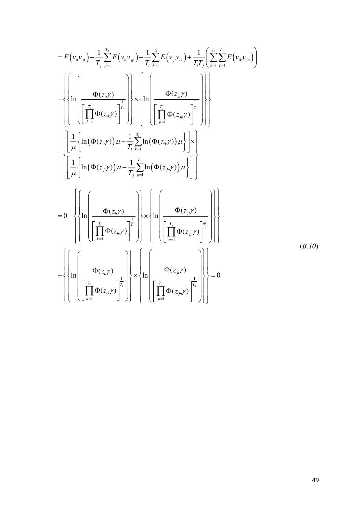$$
= E(v_n v_n) - \frac{1}{T_1} \sum_{p=1}^{T_2} E(v_n v_p) - \frac{1}{T_1} \sum_{k=1}^{T_2} E(v_p v_k) + \frac{1}{T_1 T_1} \left[ \sum_{k=1}^{T_2} E(v_k v_p) \right]
$$
\n
$$
- \left\{ \left\{ \ln \left( \frac{\Phi(z_n y)}{\left[ \prod_{k=1}^{T_1} \Phi(z_k y) \right]_1^{\frac{1}{T_1}}} \right) \right\} \times \left\{ \ln \left( \frac{\Phi(z_n y)}{\left[ \prod_{p=1}^{T_2} \Phi(z_p y) \right]_1^{\frac{1}{T_2}}} \right) \right\} \right\}
$$
\n
$$
+ \left\{ \left[ \frac{1}{\mu} \left\{ \ln (\Phi(z_n y)) \mu - \frac{1}{T_1} \sum_{k=1}^{T_2} \ln (\Phi(z_n y)) \mu \right\} \right] \times \left\{ \ln \left( \frac{\left[ \prod_{p=1}^{T_2} \Phi(z_p y) \right]_1^{\frac{1}{T_2}}}{\left[ \prod_{k=1}^{T_1} \ln (\Phi(z_n y)) \right] \right] \right\} \right\}
$$
\n
$$
= 0 - \left\{ \left\{ \ln \left( \frac{\Phi(z_n y)}{\left[ \prod_{k=1}^{T_2} \Phi(z_k y) \right]_1^{\frac{1}{T_1}}} \right\} \times \left\{ \ln \left( \frac{\Phi(z_n y)}{\left[ \prod_{p=1}^{T_2} \Phi(z_p y) \right]_1^{\frac{1}{T_2}}} \right) \right\} \right\}
$$
\n
$$
+ \left\{ \left\{ \ln \left( \frac{\Phi(z_n y)}{\left[ \prod_{k=1}^{T_2} \Phi(z_k y) \right]_1^{\frac{1}{T_2}}} \right\} \times \left\{ \ln \left( \frac{\Phi(z_n y)}{\left[ \prod_{p=1}^{T_2} \Phi(z_p y) \right]_1^{\frac{1}{T_2}}} \right) \right\} \right\}
$$
\n(B.10)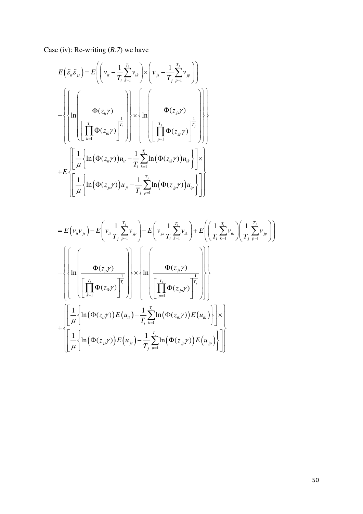Case (iv): Re-writing (*B.7*) we have

$$
E(\tilde{\varepsilon}_{ii}\tilde{\varepsilon}_{js}) = E\left(\left(v_{it} - \frac{1}{T_{i}}\sum_{k=1}^{T_{i}}v_{ik}\right) \times \left(v_{js} - \frac{1}{T_{j}}\sum_{p=1}^{T_{j}}v_{jp}\right)\right)
$$
  

$$
- \left\{\left\{\ln\left(\frac{\Phi(z_{it}\gamma)}{\left[\prod_{k=1}^{T_{i}}\Phi(z_{ik}\gamma)\right]^{\frac{1}{T_{i}}}}\right\} \times \left\{\ln\left(\frac{\Phi(z_{js}\gamma)}{\left[\prod_{p=1}^{T_{j}}\Phi(z_{jp}\gamma)\right]^{\frac{1}{T_{j}}}}\right)\right\}
$$
  

$$
+ E\left\{\left[\frac{1}{\mu}\left\{\ln\left(\Phi(z_{it}\gamma)\right)u_{it} - \frac{1}{T_{i}}\sum_{k=1}^{T_{i}}\ln\left(\Phi(z_{ik}\gamma)\right)u_{ik}\right\}\right] \times \left[\frac{1}{\mu}\left\{\ln\left(\Phi(z_{js}\gamma)\right)u_{jt} - \frac{1}{T_{j}}\sum_{p=1}^{T_{j}}\ln\left(\Phi(z_{jp}\gamma)\right)u_{ip}\right\}\right]\right\}
$$

$$
= E(v_{ii}v_{js}) - E\left(v_{ii}\frac{1}{T_j}\sum_{p=1}^{T_j}v_{jp}\right) - E\left(v_{js}\frac{1}{T_i}\sum_{k=1}^{T_i}v_{ik}\right) + E\left(\left(\frac{1}{T_i}\sum_{k=1}^{T_i}v_{ik}\right)\left(\frac{1}{T_j}\sum_{p=1}^{T_j}v_{jp}\right)\right)
$$
  

$$
- \left\{\left(\prod_{k=1}^{T_i}\left(\frac{\Phi(z_{ii}\gamma)}{\prod_{k=1}^{T_i}\Phi(z_{ik}\gamma)}\right)^{\frac{1}{T_i}}\right)\right\} \times \left\{\ln\left(\frac{\Phi(z_{js}\gamma)}{\prod_{p=1}^{T_j}\Phi(z_{jp}\gamma)}\right)^{\frac{1}{T_j}}\right\}\right\}
$$
  

$$
+ \left\{\left[\frac{1}{\mu}\left\{\ln\left(\Phi(z_{ii}\gamma)\right)E(u_{ii}\right) - \frac{1}{T_i}\sum_{k=1}^{T_i}\ln\left(\Phi(z_{ik}\gamma)\right)E(u_{ik})\right\}\right] \times \left[\frac{1}{\mu}\left\{\ln\left(\Phi(z_{js}\gamma)\right)E(u_{js}\right) - \frac{1}{T_j}\sum_{p=1}^{T_j}\ln\left(\Phi(z_{jp}\gamma)\right)E(u_{jp})\right\}\right]\right\}
$$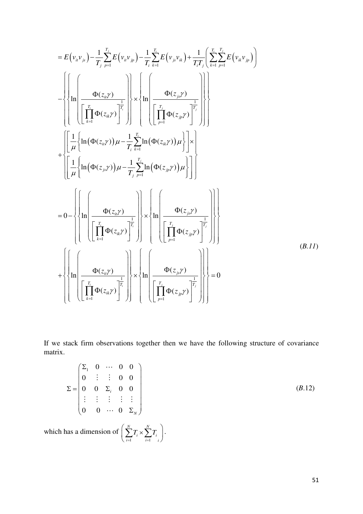$$
= E(v_n v_{jk}) - \frac{1}{T_j} \sum_{p=1}^{T_j} E(v_n v_{jk}) - \frac{1}{T_j} \sum_{k=1}^{T_j} E(v_{jk} v_{ik}) + \frac{1}{T_j T_j} \left( \sum_{k=1}^{T_j} E(v_{ik} v_{jk}) \right)
$$
\n
$$
- \left\{ \left\{ \ln \left( \frac{\Phi(z_{jk})}{\left[ \prod_{k=1}^{T_j} \Phi(z_{ik}) \right]^{\frac{1}{T_j}}} \right) \right\} \times \left\{ \ln \left( \frac{\Phi(z_{jk})}{\left[ \prod_{p=1}^{T_j} \Phi(z_{jk}) \right]^{\frac{1}{T_j}}} \right) \right\} \right\}
$$
\n
$$
+ \left\{ \left[ \frac{1}{\mu} \left\{ \ln (\Phi(z_{ik}) \right) \mu - \frac{1}{T_j} \sum_{k=1}^{T_j} \ln (\Phi(z_{ik}) \mu) \right\} \right] \times \left\{ \left[ \frac{1}{\mu} \left\{ \ln (\Phi(z_{jk})) \mu - \frac{1}{T_j} \sum_{p=1}^{T_j} \ln (\Phi(z_{jk})) \mu \right\} \right] \right\}
$$
\n
$$
= 0 - \left\{ \left\{ \ln \left( \frac{\Phi(z_{ik})}{\left[ \prod_{k=1}^{T_j} \Phi(z_{ik}) \right]^{\frac{1}{T_j}}} \right\} \times \left\{ \ln \left( \frac{\Phi(z_{jk})}{\left[ \prod_{p=1}^{T_j} \Phi(z_{jp}) \right]^{\frac{1}{T_j}}} \right) \right\} \right\}
$$
\n
$$
+ \left\{ \left\{ \ln \left( \frac{\Phi(z_{ik})}{\left[ \prod_{k=1}^{T_j} \Phi(z_{ik}) \right]^{\frac{1}{T_j}}} \right\} \times \left\{ \ln \left( \frac{\Phi(z_{jk})}{\left[ \prod_{p=1}^{T_j} \Phi(z_{jp}) \right]^{\frac{1}{T_j}}} \right) \right\} \right\}
$$
\n(B.11)

If we stack firm observations together then we have the following structure of covariance matrix.

$$
\Sigma = \begin{pmatrix} \Sigma_1 & 0 & \cdots & 0 & 0 \\ 0 & \vdots & \vdots & 0 & 0 \\ 0 & 0 & \Sigma_i & 0 & 0 \\ \vdots & \vdots & \vdots & \vdots & \vdots \\ 0 & 0 & \cdots & 0 & \Sigma_N \end{pmatrix}
$$
 (B.12)

which has a dimension of  $i=1$ *N N*  $\sum_{i=1}^{\ell} i \cap \sum_{i=1}^{\ell} i$  $T_i \times \sum T$  $\left(\sum_{i=1}^N T_i \times \sum_{i=1}^N T_i\right).$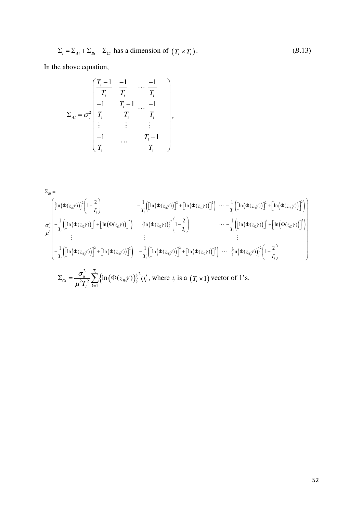$$
\Sigma_i = \Sigma_{Ai} + \Sigma_{Bi} + \Sigma_{Ci} \text{ has a dimension of } (T_i \times T_i). \tag{B.13}
$$

In the above equation,

$$
\Sigma_{Ai} = \sigma_v^2 \begin{pmatrix} \frac{T_i - 1}{T_i} & \frac{-1}{T_i} & \cdots & \frac{-1}{T_i} \\ \frac{-1}{T_i} & \frac{T_i - 1}{T_i} & \cdots & \frac{-1}{T_i} \\ \vdots & \vdots & \vdots & \vdots \\ \frac{-1}{T_i} & \cdots & \frac{T_i - 1}{T_i} \end{pmatrix},
$$

$$
\Sigma_{Bi} = \left\{ \left\{ \ln(\Phi(z_{i1}\gamma)) \right\}^2 \left( 1 - \frac{2}{T_i} \right) - \frac{1}{T_i} \left( \left[ \ln(\Phi(z_{i1}\gamma)) \right]^2 + \left[ \ln(\Phi(z_{i2}\gamma)) \right]^2 \right) \cdots - \frac{1}{T_i} \left( \left[ \ln(\Phi(z_{i1}\gamma)) \right]^2 + \left[ \ln(\Phi(z_{i1}\gamma)) \right]^2 \right) \right\}
$$
  
\n
$$
\frac{\sigma_u^2}{\mu^2} - \frac{1}{T_i} \left( \left[ \ln(\Phi(z_{i2}\gamma)) \right]^2 + \left[ \ln(\Phi(z_{i1}\gamma)) \right]^2 \right) \left\{ \ln(\Phi(z_{i2}\gamma)) \right\}^2 \left( 1 - \frac{2}{T_i} \right) \cdots - \frac{1}{T_i} \left( \left[ \ln(\Phi(z_{i2}\gamma)) \right]^2 + \left[ \ln(\Phi(z_{i1}\gamma)) \right]^2 \right) \right\}
$$
  
\n
$$
= \frac{1}{T_i} \left( \left[ \ln(\Phi(z_{i1}\gamma)) \right]^2 + \left[ \ln(\Phi(z_{i1}\gamma)) \right]^2 \right) - \frac{1}{T_i} \left( \left[ \ln(\Phi(z_{i1}\gamma)) \right]^2 + \left[ \ln(\Phi(z_{i2}\gamma)) \right]^2 \right) \cdots \left\{ \ln(\Phi(z_{i1}\gamma)) \right\}^2 \left( 1 - \frac{2}{T_i} \right)
$$
  
\n
$$
\Sigma_{Ci} = \frac{\sigma_u^2}{\mu^2 T_i^2} \sum_{k=1}^{T_i} \left\{ \ln(\Phi(z_{ik}\gamma)) \right\}^2 t_i t'_i, \text{ where } t_i \text{ is a } (T_i \times 1) \text{ vector of 1's.}
$$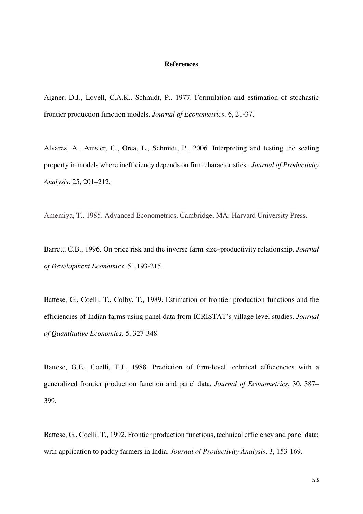# **References**

Aigner, D.J., Lovell, C.A.K., Schmidt, P., 1977. Formulation and estimation of stochastic frontier production function models. *Journal of Econometrics*. 6, 21-37.

Alvarez, A., Amsler, C., Orea, L., Schmidt, P., 2006. Interpreting and testing the scaling property in models where inefficiency depends on firm characteristics. *Journal of Productivity Analysis*. 25, 201–212.

Amemiya, T., 1985. Advanced Econometrics. Cambridge, MA: Harvard University Press.

Barrett, C.B., 1996. On price risk and the inverse farm size–productivity relationship. *Journal of Development Economics*. 51,193-215.

Battese, G., Coelli, T., Colby, T., 1989. Estimation of frontier production functions and the efficiencies of Indian farms using panel data from ICRISTAT's village level studies. *Journal of Quantitative Economics*. 5, 327-348.

Battese, G.E., Coelli, T.J., 1988. Prediction of firm-level technical efficiencies with a generalized frontier production function and panel data. *Journal of Econometrics*, 30, 387– 399.

Battese, G., Coelli, T., 1992. Frontier production functions, technical efficiency and panel data: with application to paddy farmers in India. *Journal of Productivity Analysis*. 3, 153-169.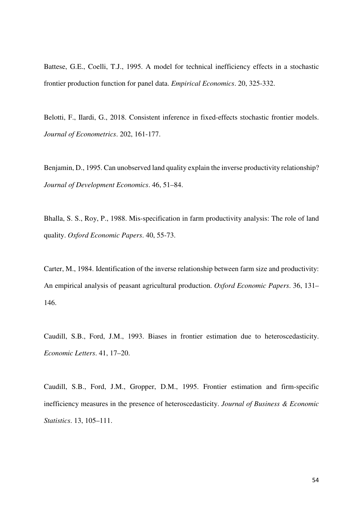Battese, G.E., Coelli, T.J., 1995. A model for technical inefficiency effects in a stochastic frontier production function for panel data. *Empirical Economics*. 20, 325-332.

Belotti, F., Ilardi, G., 2018. Consistent inference in fixed-effects stochastic frontier models. *Journal of Econometrics*. 202, 161-177.

Benjamin, D., 1995. Can unobserved land quality explain the inverse productivity relationship? *Journal of Development Economics*. 46, 51–84.

Bhalla, S. S., Roy, P., 1988. Mis-specification in farm productivity analysis: The role of land quality. *Oxford Economic Papers*. 40, 55-73.

Carter, M., 1984. Identification of the inverse relationship between farm size and productivity: An empirical analysis of peasant agricultural production. *Oxford Economic Papers*. 36, 131– 146.

Caudill, S.B., Ford, J.M., 1993. Biases in frontier estimation due to heteroscedasticity. *Economic Letters*. 41, 17–20.

Caudill, S.B., Ford, J.M., Gropper, D.M., 1995. Frontier estimation and firm-specific inefficiency measures in the presence of heteroscedasticity. *Journal of Business & Economic Statistics*. 13, 105–111.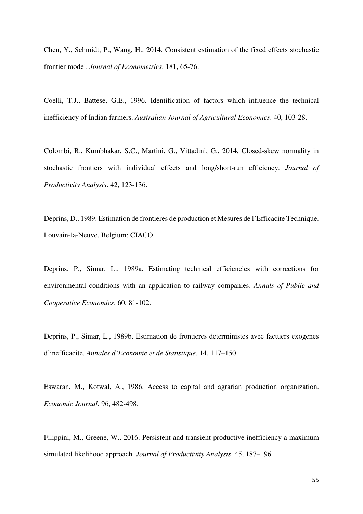Chen, Y., Schmidt, P., Wang, H., 2014. Consistent estimation of the fixed effects stochastic frontier model. *Journal of Econometrics*. 181, 65-76.

Coelli, T.J., Battese, G.E., 1996. Identification of factors which influence the technical inefficiency of Indian farmers. *Australian Journal of Agricultural Economics*. 40, 103-28.

Colombi, R., Kumbhakar, S.C., Martini, G., Vittadini, G., 2014. Closed-skew normality in stochastic frontiers with individual effects and long/short-run efficiency. *Journal of Productivity Analysis*. 42, 123-136.

Deprins, D., 1989. Estimation de frontieres de production et Mesures de l'Efficacite Technique. Louvain-la-Neuve, Belgium: CIACO.

Deprins, P., Simar, L., 1989a. Estimating technical efficiencies with corrections for environmental conditions with an application to railway companies. *Annals of Public and Cooperative Economics*. 60, 81-102.

Deprins, P., Simar, L., 1989b. Estimation de frontieres deterministes avec factuers exogenes d'inefficacite. *Annales d'Economie et de Statistique*. 14, 117–150.

Eswaran, M., Kotwal, A., 1986. Access to capital and agrarian production organization. *Economic Journal*. 96, 482-498.

Filippini, M., Greene, W., 2016. Persistent and transient productive inefficiency a maximum simulated likelihood approach. *Journal of Productivity Analysis*. 45, 187–196.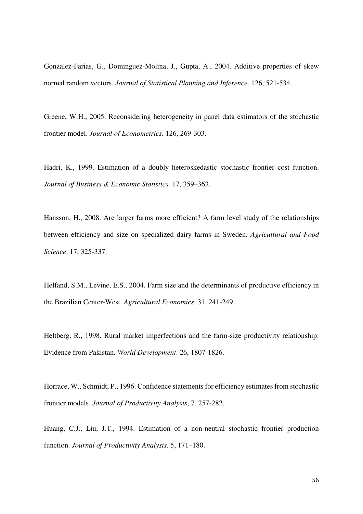Gonzalez-Farias, G., Dominguez-Molina, J., Gupta, A., 2004. Additive properties of skew normal random vectors. *Journal of Statistical Planning and Inference*. 126, 521-534.

Greene, W.H., 2005. Reconsidering heterogeneity in panel data estimators of the stochastic frontier model. *Journal of Econometrics.* 126, 269-303.

Hadri, K., 1999. Estimation of a doubly heteroskedastic stochastic frontier cost function. *Journal of Business & Economic Statistics.* 17, 359–363.

Hansson, H., 2008. Are larger farms more efficient? A farm level study of the relationships between efficiency and size on specialized dairy farms in Sweden. *Agricultural and Food Science*. 17, 325-337.

Helfand, S.M., Levine, E.S., 2004. Farm size and the determinants of productive efficiency in the Brazilian Center-West. *Agricultural Economics*. 31, 241-249.

Heltberg, R., 1998. Rural market imperfections and the farm-size productivity relationship: Evidence from Pakistan. *World Development*. 26, 1807-1826.

Horrace, W., Schmidt, P., 1996. Confidence statements for efficiency estimates from stochastic frontier models. *Journal of Productivity Analysis*, 7, 257-282.

Huang, C.J., Liu, J.T., 1994. Estimation of a non-neutral stochastic frontier production function. *Journal of Productivity Analysis*. 5, 171–180.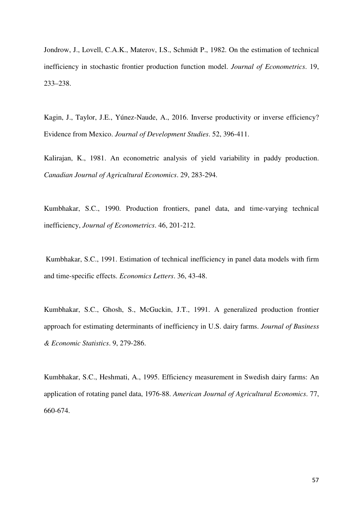Jondrow, J., Lovell, C.A.K., Materov, I.S., Schmidt P., 1982. On the estimation of technical inefficiency in stochastic frontier production function model. *Journal of Econometrics*. 19, 233–238.

Kagin, J., Taylor, J.E., Yúnez-Naude, A., 2016. Inverse productivity or inverse efficiency? Evidence from Mexico. *Journal of Development Studies*. 52, 396-411.

Kalirajan, K., 1981. An econometric analysis of yield variability in paddy production. *Canadian Journal of Agricultural Economics*. 29, 283-294.

Kumbhakar, S.C., 1990. Production frontiers, panel data, and time-varying technical inefficiency, *Journal of Econometrics*. 46, 201-212.

Kumbhakar, S.C., 1991. Estimation of technical inefficiency in panel data models with firm and time-specific effects. *Economics Letters*. 36, 43-48.

Kumbhakar, S.C., Ghosh, S., McGuckin, J.T., 1991. A generalized production frontier approach for estimating determinants of inefficiency in U.S. dairy farms. *Journal of Business & Economic Statistics*. 9, 279-286.

Kumbhakar, S.C., Heshmati, A., 1995. Efficiency measurement in Swedish dairy farms: An application of rotating panel data, 1976-88. *American Journal of Agricultural Economics*. 77, 660-674.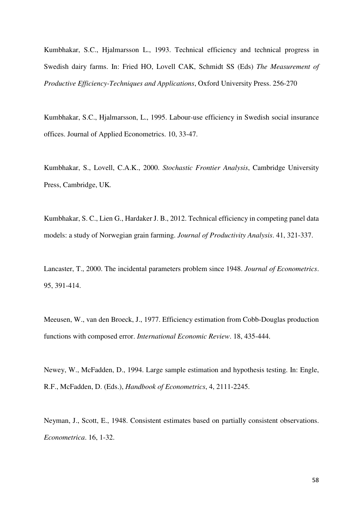Kumbhakar, S.C., Hjalmarsson L., 1993. Technical efficiency and technical progress in Swedish dairy farms. In: Fried HO, Lovell CAK, Schmidt SS (Eds) *The Measurement of Productive Efficiency-Techniques and Applications*, Oxford University Press. 256-270

Kumbhakar, S.C., Hjalmarsson, L., 1995. Labour-use efficiency in Swedish social insurance offices. Journal of Applied Econometrics. 10, 33-47.

Kumbhakar, S., Lovell, C.A.K., 2000. *Stochastic Frontier Analysis*, Cambridge University Press, Cambridge, UK*.*

Kumbhakar, S. C., Lien G., Hardaker J. B., 2012. Technical efficiency in competing panel data models: a study of Norwegian grain farming. *Journal of Productivity Analysis*. 41, 321-337.

Lancaster, T., 2000. The incidental parameters problem since 1948. *Journal of Econometrics*. 95, 391-414.

Meeusen, W., van den Broeck, J., 1977. Efficiency estimation from Cobb-Douglas production functions with composed error. *International Economic Review*. 18, 435-444.

Newey, W., McFadden, D., 1994. Large sample estimation and hypothesis testing. In: Engle, R.F., McFadden, D. (Eds.), *Handbook of Econometrics*, 4, 2111-2245.

Neyman, J., Scott, E., 1948. Consistent estimates based on partially consistent observations. *Econometrica*. 16, 1-32.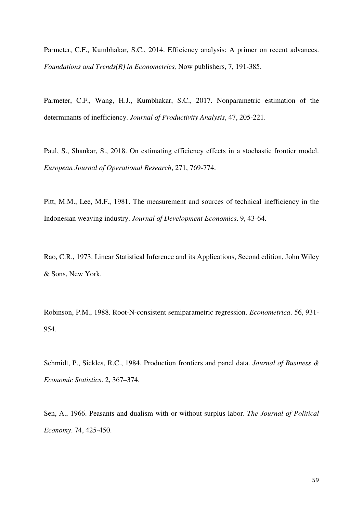Parmeter, C.F., Kumbhakar, S.C., 2014. Efficiency analysis: A primer on recent advances. *Foundations and Trends(R) in Econometrics,* Now publishers, 7, 191-385.

Parmeter, C.F., Wang, H.J., Kumbhakar, S.C., 2017. Nonparametric estimation of the determinants of inefficiency. *Journal of Productivity Analysis*, 47, 205-221.

Paul, S., Shankar, S., 2018. On estimating efficiency effects in a stochastic frontier model. *European Journal of Operational Research*, 271, 769-774.

Pitt, M.M., Lee, M.F., 1981. The measurement and sources of technical inefficiency in the Indonesian weaving industry. *Journal of Development Economics*. 9, 43-64.

Rao, C.R., 1973. Linear Statistical Inference and its Applications, Second edition, John Wiley & Sons, New York.

Robinson, P.M., 1988. Root-N-consistent semiparametric regression. *Econometrica*. 56, 931- 954.

Schmidt, P., Sickles, R.C., 1984. Production frontiers and panel data. *Journal of Business & Economic Statistics*. 2, 367–374.

Sen, A., 1966. Peasants and dualism with or without surplus labor. *The Journal of Political Economy*. 74, 425-450.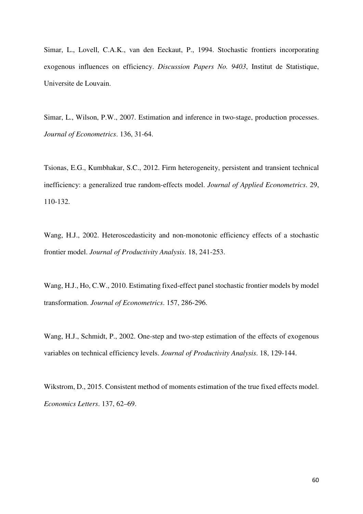Simar, L., Lovell, C.A.K., van den Eeckaut, P., 1994. Stochastic frontiers incorporating exogenous influences on efficiency. *Discussion Papers No. 9403*, Institut de Statistique, Universite de Louvain.

Simar, L., Wilson, P.W., 2007. Estimation and inference in two-stage, production processes. *Journal of Econometrics*. 136, 31-64.

Tsionas, E.G., Kumbhakar, S.C., 2012. Firm heterogeneity, persistent and transient technical inefficiency: a generalized true random-effects model. *Journal of Applied Econometrics*. 29, 110-132.

Wang, H.J., 2002. Heteroscedasticity and non-monotonic efficiency effects of a stochastic frontier model. *Journal of Productivity Analysis*. 18, 241-253.

Wang, H.J., Ho, C.W., 2010. Estimating fixed-effect panel stochastic frontier models by model transformation. *Journal of Econometrics*. 157, 286-296.

Wang, H.J., Schmidt, P., 2002. One-step and two-step estimation of the effects of exogenous variables on technical efficiency levels. *Journal of Productivity Analysis*. 18, 129-144.

Wikstrom, D., 2015. Consistent method of moments estimation of the true fixed effects model. *Economics Letters*. 137, 62–69.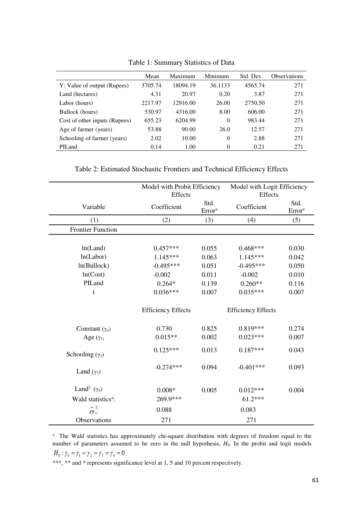|                               | Mean    | Maximum  | Minimum  | Std. Dev. | <b>Observations</b> |
|-------------------------------|---------|----------|----------|-----------|---------------------|
| Y: Value of output (Rupees)   | 3705.74 | 18094.19 | 36.1133  | 4565.74   | 271                 |
| Land (hectares)               | 4.31    | 20.97    | 0.20     | 3.87      | 271                 |
| Labor (hours)                 | 2217.97 | 12916.00 | 26.00    | 2750.50   | 271                 |
| Bullock (hours)               | 530.97  | 4316.00  | 8.00     | 606.00    | 271                 |
| Cost of other inputs (Rupees) | 655.23  | 6204.99  | $\Omega$ | 983.44    | 271                 |
| Age of farmer (years)         | 53.88   | 90.00    | 26.0     | 12.57     | 271                 |
| Schooling of farmer (years)   | 2.02    | 10.00    | $\theta$ | 2.88      | 271                 |
| PILand                        | 0.14    | 1.00     | $\theta$ | 0.21      | 271                 |

Table 1: Summary Statistics of Data

Table 2: Estimated Stochastic Frontiers and Technical Efficiency Effects

|                                | Model with Probit Efficiency |                    | Model with Logit Efficiency |                    |
|--------------------------------|------------------------------|--------------------|-----------------------------|--------------------|
|                                | Effects                      | Std.               | Effects                     | Std.               |
| Variable                       | Coefficient                  | Error <sup>a</sup> | Coefficient                 | Error <sup>a</sup> |
| (1)                            | (2)                          | (3)                | (4)                         | (5)                |
| <b>Frontier Function</b>       |                              |                    |                             |                    |
|                                |                              |                    |                             |                    |
| ln(Land)                       | $0.457***$                   | 0.055              | $0.468***$                  | 0.030              |
| ln(Labor)                      | $1.145***$                   | 0.063              | $1.145***$                  | 0.042              |
| ln(Bullock)                    | $-0.495***$                  | 0.051              | $-0.495***$                 | 0.050              |
| ln(Cost)                       | $-0.002$                     | 0.011              | $-0.002$                    | 0.010              |
| PILand                         | $0.264*$                     | 0.139              | $0.260**$                   | 0.116              |
| t                              | $0.036***$                   | 0.007              | $0.035***$                  | 0.007              |
|                                | <b>Efficiency Effects</b>    |                    | <b>Efficiency Effects</b>   |                    |
| Constant $(\gamma_0)$          | 0.730                        | 0.825              | $0.819***$                  | 0.274              |
| Age $(\gamma_1)$               | $0.015**$                    | 0.002              | $0.023***$                  | 0.007              |
| Schooling $(\gamma_2)$         | $0.125***$                   | 0.013              | $0.187***$                  | 0.043              |
| Land $(\gamma_3)$              | $-0.274***$                  | 0.094              | $-0.401***$                 | 0.093              |
| Land <sup>2</sup> $(\gamma_4)$ | $0.008*$                     | 0.005              | $0.012***$                  | 0.004              |
| Wald statistics <sup>a</sup> : | 269.9***                     |                    | $61.2***$                   |                    |
| $\sim$ 2<br>$\sigma_{v}$       | 0.088                        |                    | 0.083                       |                    |
| Observations                   | 271                          |                    | 271                         |                    |

<sup>a</sup> The Wald statistics has approximately chi-square distribution with degrees of freedom equal to the number of parameters assumed to be zero in the null hypothesis,  $H<sub>0</sub>$ . In the probit and logit models  $H_0: \gamma_0 = \gamma_1 = \gamma_2 = \gamma_3 = \gamma_4 = 0$ .

\*\*\*, \*\* and \* represents significance level at 1, 5 and 10 percent respectively.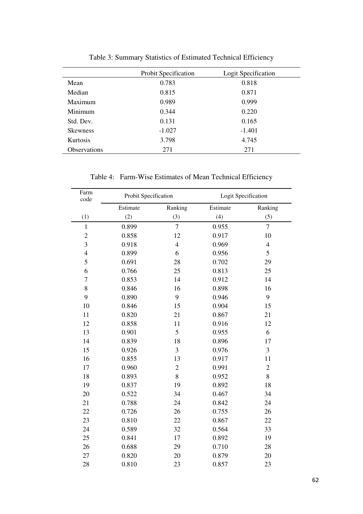|                     | <b>Probit Specification</b> | Logit Specification |
|---------------------|-----------------------------|---------------------|
| Mean                | 0.783                       | 0.818               |
| Median              | 0.815                       | 0.871               |
| Maximum             | 0.989                       | 0.999               |
| Minimum             | 0.344                       | 0.220               |
| Std. Dev.           | 0.131                       | 0.165               |
| <b>Skewness</b>     | $-1.027$                    | $-1.401$            |
| Kurtosis            | 3.798                       | 4.745               |
| <b>Observations</b> | 271                         | 271                 |

Table 3: Summary Statistics of Estimated Technical Efficiency

Table 4: Farm-Wise Estimates of Mean Technical Efficiency

| Farm<br>code   |          | Probit Specification |          | Logit Specification |  |
|----------------|----------|----------------------|----------|---------------------|--|
|                | Estimate | Ranking              | Estimate | Ranking             |  |
| (1)            | (2)      | (3)                  | (4)      | (5)                 |  |
| $\mathbf{1}$   | 0.899    | $\overline{7}$       | 0.955    | $\overline{7}$      |  |
| $\overline{c}$ | 0.858    | 12                   | 0.917    | 10                  |  |
| 3              | 0.918    | $\overline{4}$       | 0.969    | $\overline{4}$      |  |
| $\overline{4}$ | 0.899    | 6                    | 0.956    | 5                   |  |
| 5              | 0.691    | 28                   | 0.702    | 29                  |  |
| 6              | 0.766    | 25                   | 0.813    | 25                  |  |
| $\overline{7}$ | 0.853    | 14                   | 0.912    | 14                  |  |
| 8              | 0.846    | 16                   | 0.898    | 16                  |  |
| 9              | 0.890    | 9                    | 0.946    | 9                   |  |
| 10             | 0.846    | 15                   | 0.904    | 15                  |  |
| 11             | 0.820    | 21                   | 0.867    | 21                  |  |
| 12             | 0.858    | 11                   | 0.916    | 12                  |  |
| 13             | 0.901    | 5                    | 0.955    | 6                   |  |
| 14             | 0.839    | 18                   | 0.896    | 17                  |  |
| 15             | 0.926    | 3                    | 0.976    | 3                   |  |
| 16             | 0.855    | 13                   | 0.917    | 11                  |  |
| 17             | 0.960    | $\overline{2}$       | 0.991    | $\overline{2}$      |  |
| 18             | 0.893    | 8                    | 0.952    | 8                   |  |
| 19             | 0.837    | 19                   | 0.892    | 18                  |  |
| 20             | 0.522    | 34                   | 0.467    | 34                  |  |
| 21             | 0.788    | 24                   | 0.842    | 24                  |  |
| 22             | 0.726    | 26                   | 0.755    | 26                  |  |
| 23             | 0.810    | 22                   | 0.867    | 22                  |  |
| 24             | 0.589    | 32                   | 0.564    | 33                  |  |
| 25             | 0.841    | 17                   | 0.892    | 19                  |  |
| 26             | 0.688    | 29                   | 0.710    | 28                  |  |
| 27             | 0.820    | 20                   | 0.879    | 20                  |  |
| 28             | 0.810    | 23                   | 0.857    | 23                  |  |